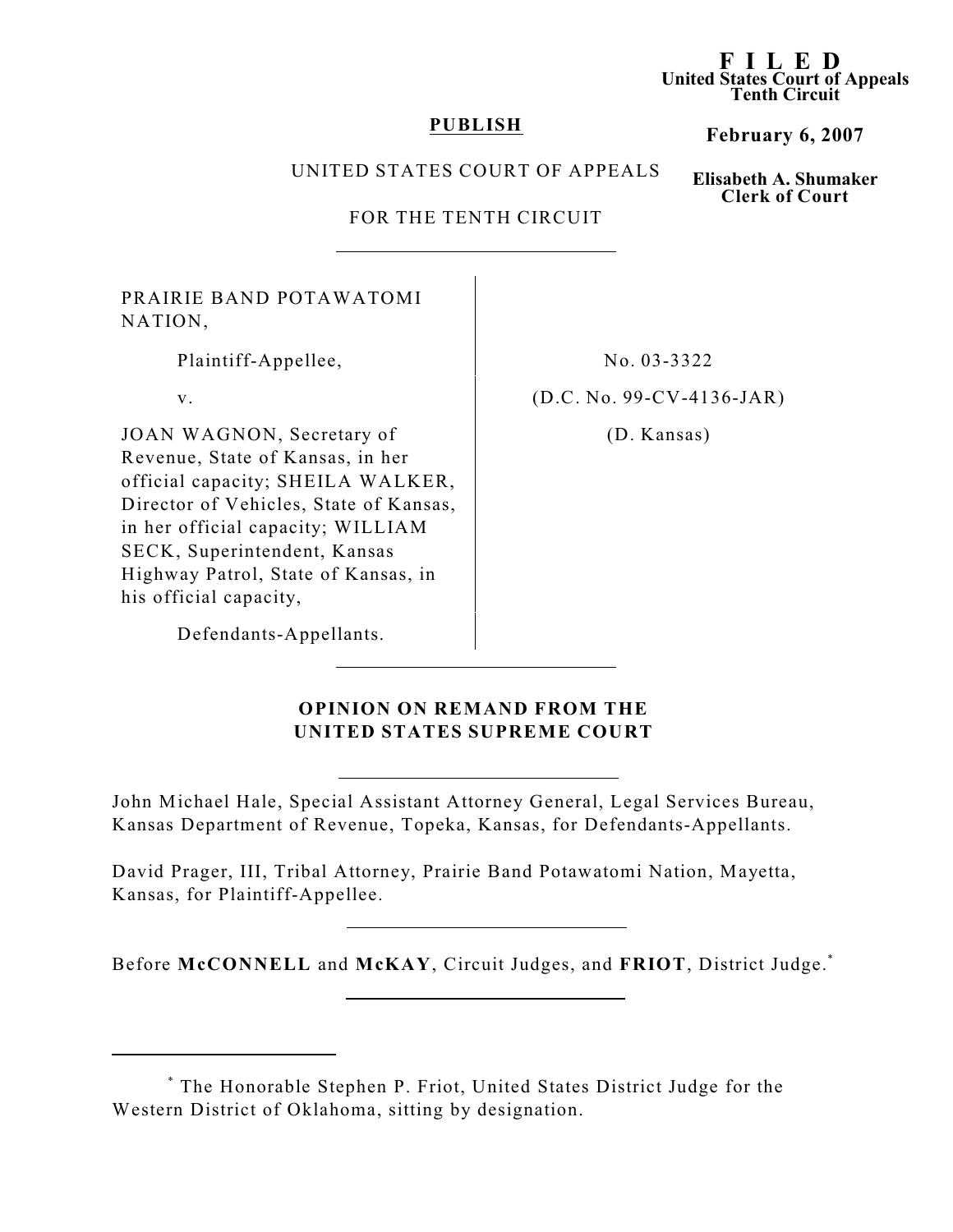# **PUBLISH**

# **February 6, 2007**

**F I LED United States Court of Appeals Tenth Circuit**

# UNITED STATES COURT OF APPEALS

**Elisabeth A. Shumaker Clerk of Court**

FOR THE TENTH CIRCUIT

PRAIRIE BAND POTAWATOMI NATION,

Plaintiff-Appellee, No. 03-3322

JOAN WAGNON, Secretary of Revenue, State of Kansas, in her official capacity; SHEILA WALKER, Director of Vehicles, State of Kansas, in her official capacity; WILLIAM SECK, Superintendent, Kansas Highway Patrol, State of Kansas, in his official capacity,

v. (D.C. No. 99-CV-4136-JAR)

(D. Kansas)

Defendants-Appellants.

# **OPINION ON REMAND FROM THE UNITED STATES SUPREME COURT**

John Michael Hale, Special Assistant Attorney General, Legal Services Bureau, Kansas Department of Revenue, Topeka, Kansas, for Defendants-Appellants.

David Prager, III, Tribal Attorney, Prairie Band Potawatomi Nation, Mayetta, Kansas, for Plaintiff-Appellee.

Before **McCONNELL** and **McKAY**, Circuit Judges, and **FRIOT**, District Judge.\*

The Honorable Stephen P. Friot, United States District Judge for the \* Western District of Oklahoma, sitting by designation.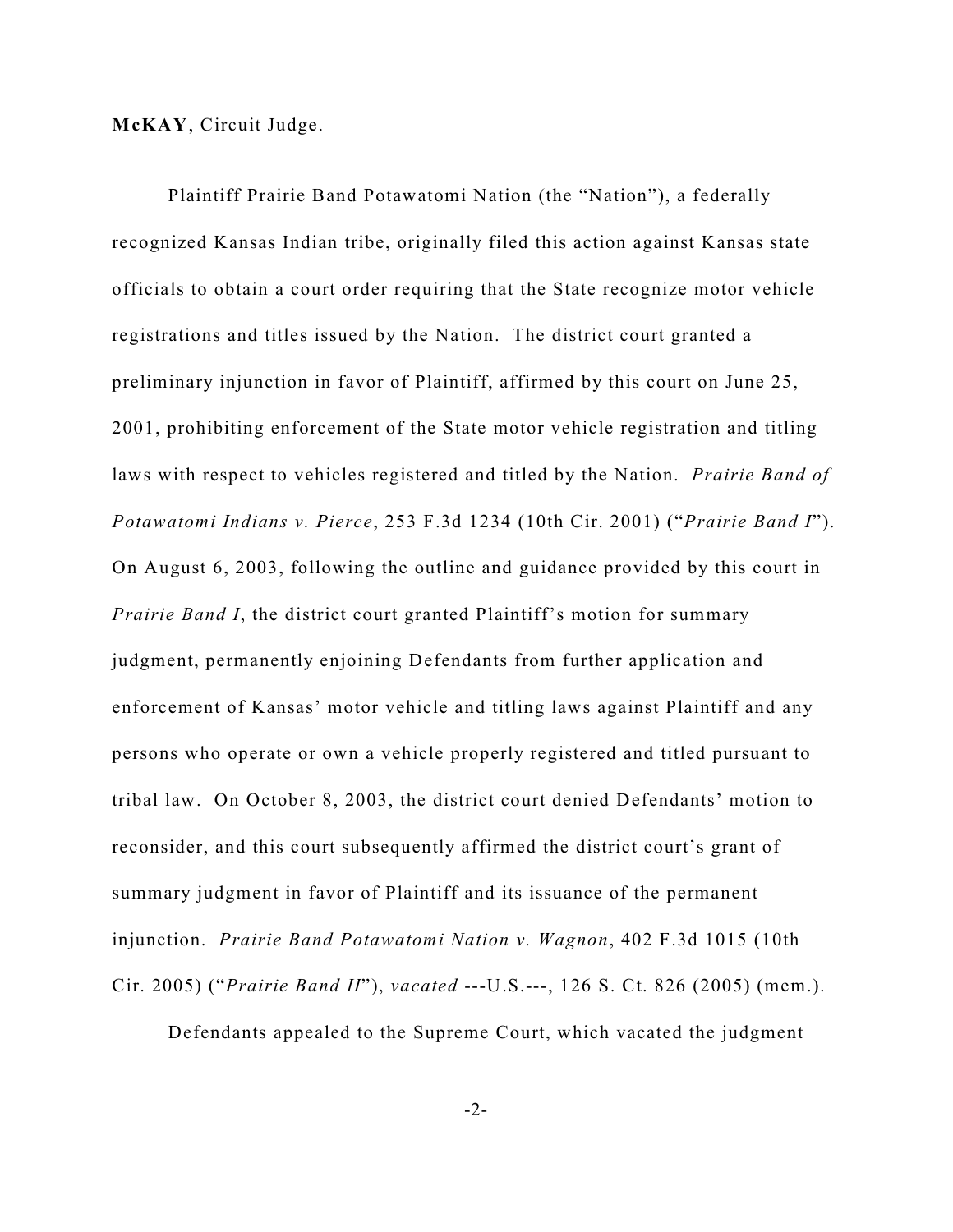**McKAY**, Circuit Judge.

Plaintiff Prairie Band Potawatomi Nation (the "Nation"), a federally recognized Kansas Indian tribe, originally filed this action against Kansas state officials to obtain a court order requiring that the State recognize motor vehicle registrations and titles issued by the Nation. The district court granted a preliminary injunction in favor of Plaintiff, affirmed by this court on June 25, 2001, prohibiting enforcement of the State motor vehicle registration and titling laws with respect to vehicles registered and titled by the Nation. *Prairie Band of Potawatomi Indians v. Pierce*, 253 F.3d 1234 (10th Cir. 2001) ("*Prairie Band I*"). On August 6, 2003, following the outline and guidance provided by this court in *Prairie Band I*, the district court granted Plaintiff's motion for summary judgment, permanently enjoining Defendants from further application and enforcement of Kansas' motor vehicle and titling laws against Plaintiff and any persons who operate or own a vehicle properly registered and titled pursuant to tribal law. On October 8, 2003, the district court denied Defendants' motion to reconsider, and this court subsequently affirmed the district court's grant of summary judgment in favor of Plaintiff and its issuance of the permanent injunction. *Prairie Band Potawatomi Nation v. Wagnon*, 402 F.3d 1015 (10th Cir. 2005) ("*Prairie Band II*"), *vacated* ---U.S.---, 126 S. Ct. 826 (2005) (mem.).

Defendants appealed to the Supreme Court, which vacated the judgment

-2-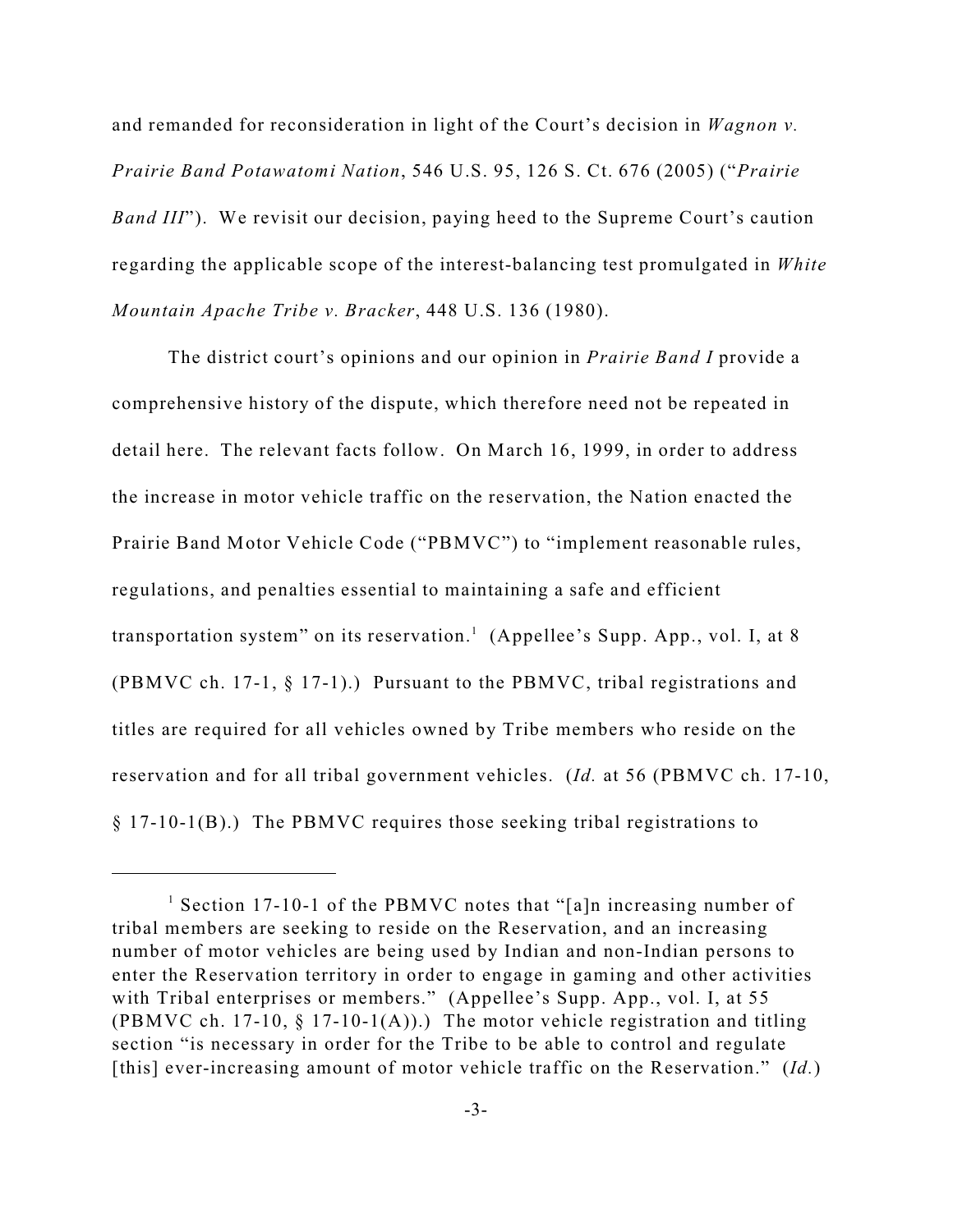and remanded for reconsideration in light of the Court's decision in *Wagnon v. Prairie Band Potawatomi Nation*, 546 U.S. 95, 126 S. Ct. 676 (2005) ("*Prairie Band III*"). We revisit our decision, paying heed to the Supreme Court's caution regarding the applicable scope of the interest-balancing test promulgated in *White Mountain Apache Tribe v. Bracker*, 448 U.S. 136 (1980).

The district court's opinions and our opinion in *Prairie Band I* provide a comprehensive history of the dispute, which therefore need not be repeated in detail here. The relevant facts follow. On March 16, 1999, in order to address the increase in motor vehicle traffic on the reservation, the Nation enacted the Prairie Band Motor Vehicle Code ("PBMVC") to "implement reasonable rules, regulations, and penalties essential to maintaining a safe and efficient transportation system" on its reservation.<sup>1</sup> (Appellee's Supp. App., vol. I, at 8 (PBMVC ch. 17-1, § 17-1).) Pursuant to the PBMVC, tribal registrations and titles are required for all vehicles owned by Tribe members who reside on the reservation and for all tribal government vehicles. (*Id.* at 56 (PBMVC ch. 17-10, § 17-10-1(B).) The PBMVC requires those seeking tribal registrations to

<sup>&</sup>lt;sup>1</sup> Section 17-10-1 of the PBMVC notes that "[a]n increasing number of tribal members are seeking to reside on the Reservation, and an increasing number of motor vehicles are being used by Indian and non-Indian persons to enter the Reservation territory in order to engage in gaming and other activities with Tribal enterprises or members." (Appellee's Supp. App., vol. I, at 55 (PBMVC ch. 17-10,  $\S$  17-10-1(A)).) The motor vehicle registration and titling section "is necessary in order for the Tribe to be able to control and regulate [this] ever-increasing amount of motor vehicle traffic on the Reservation." (*Id.*)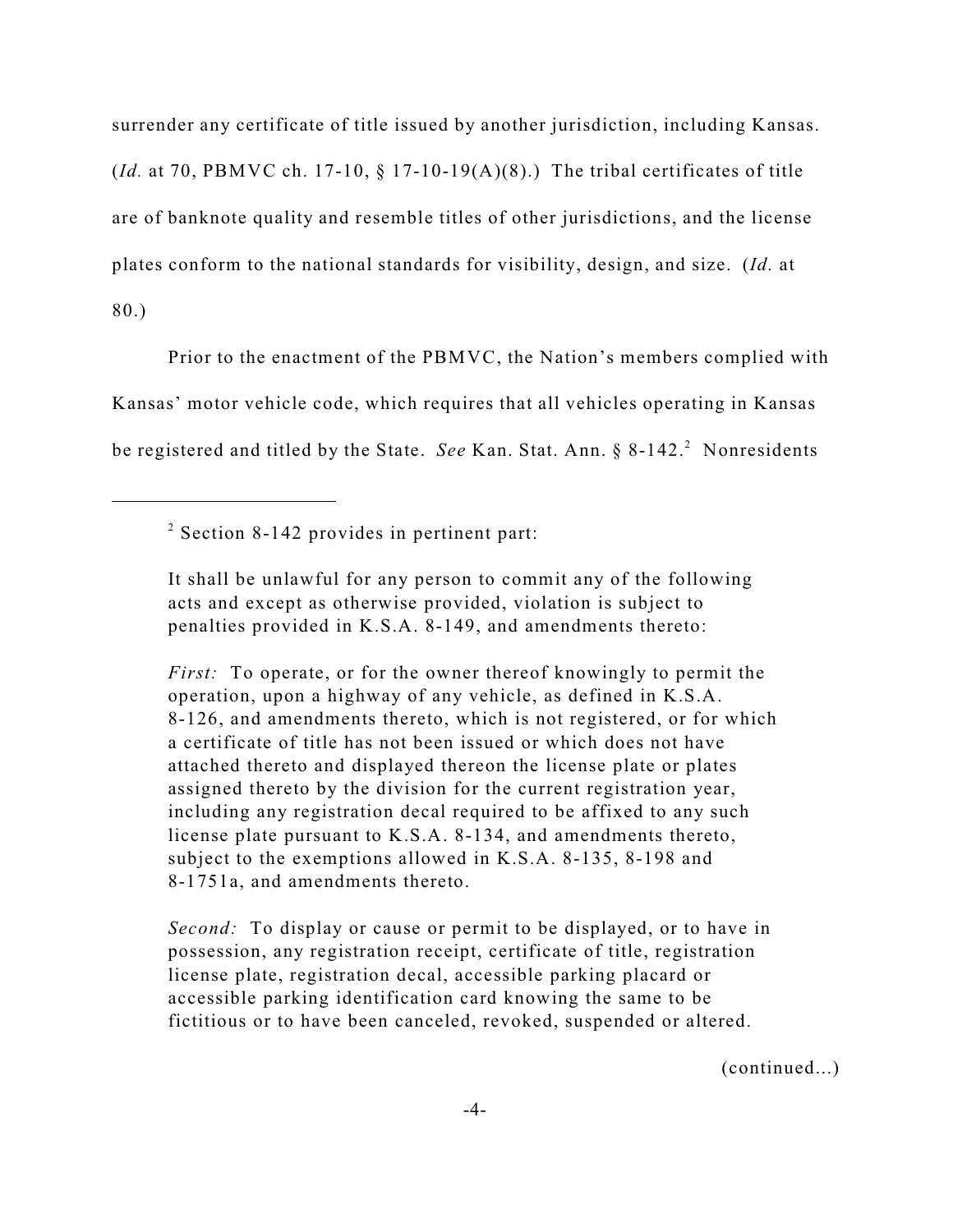surrender any certificate of title issued by another jurisdiction, including Kansas. (*Id.* at 70, PBMVC ch. 17-10,  $\S$  17-10-19(A)(8).) The tribal certificates of title are of banknote quality and resemble titles of other jurisdictions, and the license plates conform to the national standards for visibility, design, and size. (*Id.* at

80.)

Prior to the enactment of the PBMVC, the Nation's members complied with Kansas' motor vehicle code, which requires that all vehicles operating in Kansas be registered and titled by the State. *See* Kan. Stat. Ann. § 8-142.<sup>2</sup> Nonresidents

It shall be unlawful for any person to commit any of the following acts and except as otherwise provided, violation is subject to penalties provided in K.S.A. 8-149, and amendments thereto:

*First:* To operate, or for the owner thereof knowingly to permit the operation, upon a highway of any vehicle, as defined in K.S.A. 8-126, and amendments thereto, which is not registered, or for which a certificate of title has not been issued or which does not have attached thereto and displayed thereon the license plate or plates assigned thereto by the division for the current registration year, including any registration decal required to be affixed to any such license plate pursuant to K.S.A. 8-134, and amendments thereto, subject to the exemptions allowed in K.S.A. 8-135, 8-198 and 8-1751a, and amendments thereto.

*Second:* To display or cause or permit to be displayed, or to have in possession, any registration receipt, certificate of title, registration license plate, registration decal, accessible parking placard or accessible parking identification card knowing the same to be fictitious or to have been canceled, revoked, suspended or altered.

(continued...)

 $2$  Section 8-142 provides in pertinent part: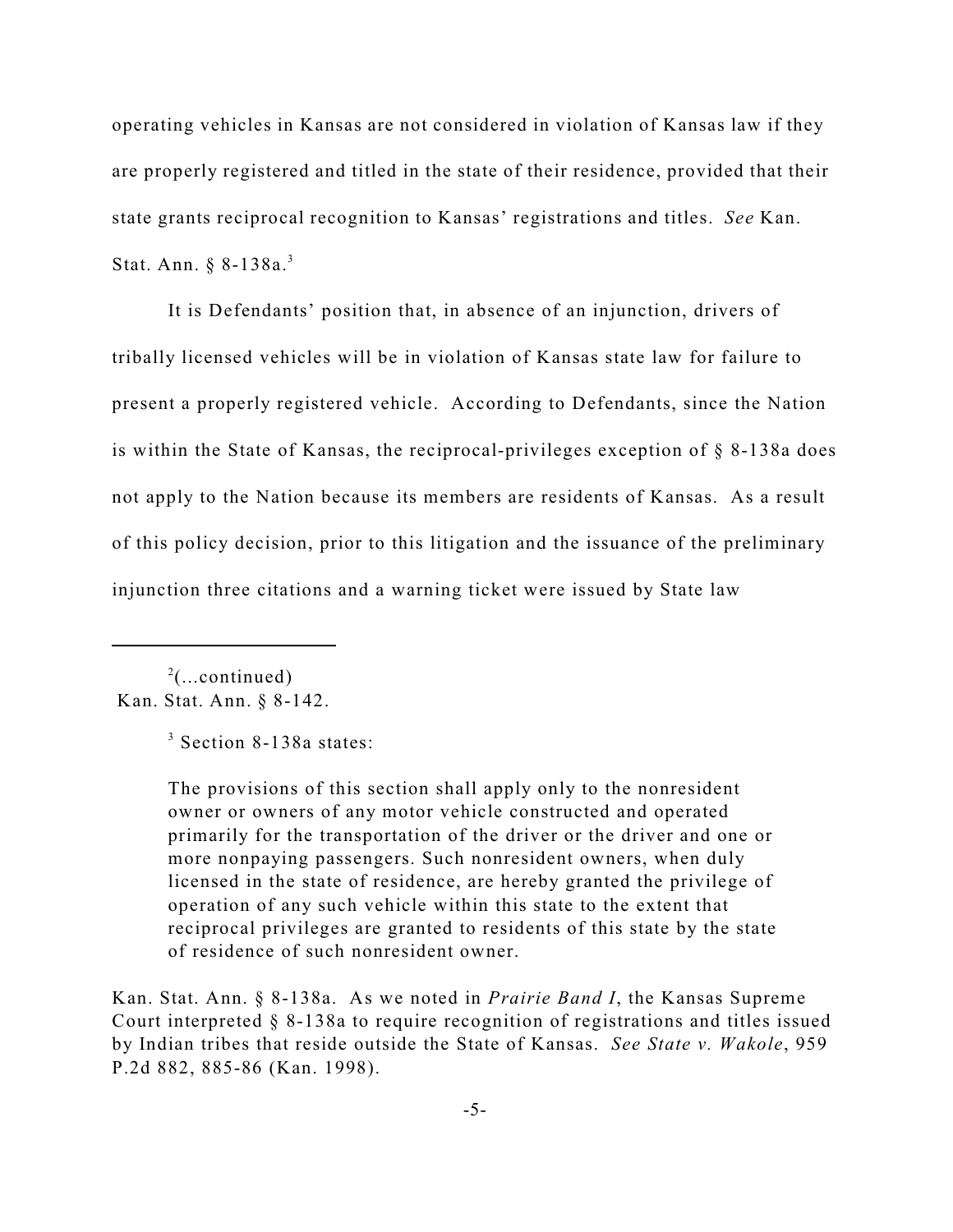operating vehicles in Kansas are not considered in violation of Kansas law if they are properly registered and titled in the state of their residence, provided that their state grants reciprocal recognition to Kansas' registrations and titles. *See* Kan. Stat. Ann. § 8-138a.<sup>3</sup>

It is Defendants' position that, in absence of an injunction, drivers of tribally licensed vehicles will be in violation of Kansas state law for failure to present a properly registered vehicle. According to Defendants, since the Nation is within the State of Kansas, the reciprocal-privileges exception of § 8-138a does not apply to the Nation because its members are residents of Kansas. As a result of this policy decision, prior to this litigation and the issuance of the preliminary injunction three citations and a warning ticket were issued by State law

 $^{2}$ (...continued) Kan. Stat. Ann. § 8-142.

The provisions of this section shall apply only to the nonresident owner or owners of any motor vehicle constructed and operated primarily for the transportation of the driver or the driver and one or more nonpaying passengers. Such nonresident owners, when duly licensed in the state of residence, are hereby granted the privilege of operation of any such vehicle within this state to the extent that reciprocal privileges are granted to residents of this state by the state of residence of such nonresident owner.

Kan. Stat. Ann. § 8-138a. As we noted in *Prairie Band I*, the Kansas Supreme Court interpreted § 8-138a to require recognition of registrations and titles issued by Indian tribes that reside outside the State of Kansas. *See State v. Wakole*, 959 P.2d 882, 885-86 (Kan. 1998).

 $3$  Section 8-138a states: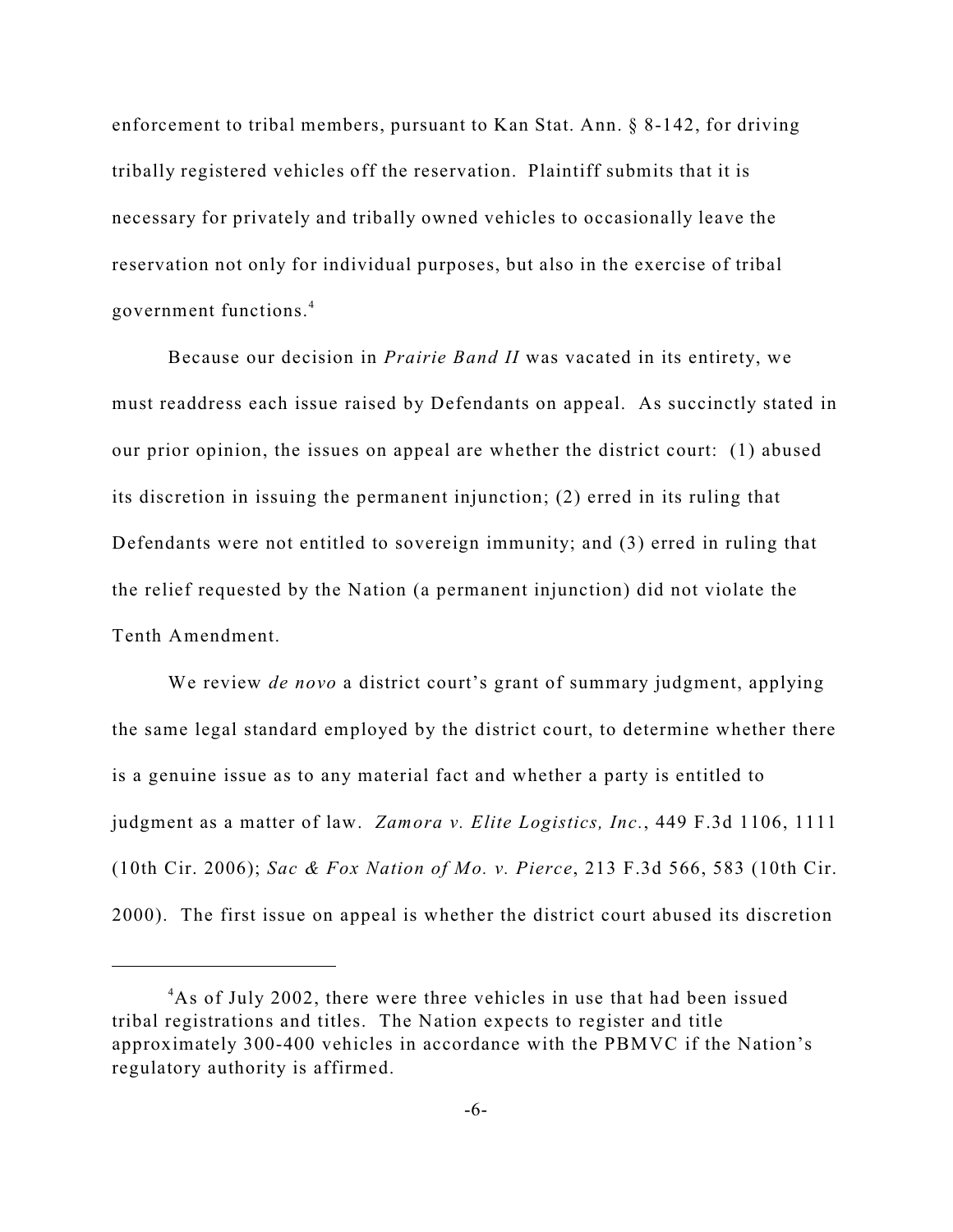enforcement to tribal members, pursuant to Kan Stat. Ann. § 8-142, for driving tribally registered vehicles off the reservation. Plaintiff submits that it is necessary for privately and tribally owned vehicles to occasionally leave the reservation not only for individual purposes, but also in the exercise of tribal government functions.<sup>4</sup>

Because our decision in *Prairie Band II* was vacated in its entirety, we must readdress each issue raised by Defendants on appeal. As succinctly stated in our prior opinion, the issues on appeal are whether the district court: (1) abused its discretion in issuing the permanent injunction; (2) erred in its ruling that Defendants were not entitled to sovereign immunity; and (3) erred in ruling that the relief requested by the Nation (a permanent injunction) did not violate the Tenth Amendment.

We review *de novo* a district court's grant of summary judgment, applying the same legal standard employed by the district court, to determine whether there is a genuine issue as to any material fact and whether a party is entitled to judgment as a matter of law. *Zamora v. Elite Logistics, Inc.*, 449 F.3d 1106, 1111 (10th Cir. 2006); *Sac & Fox Nation of Mo. v. Pierce*, 213 F.3d 566, 583 (10th Cir. 2000). The first issue on appeal is whether the district court abused its discretion

 $A<sup>4</sup>$ As of July 2002, there were three vehicles in use that had been issued tribal registrations and titles. The Nation expects to register and title approximately 300-400 vehicles in accordance with the PBMVC if the Nation's regulatory authority is affirmed.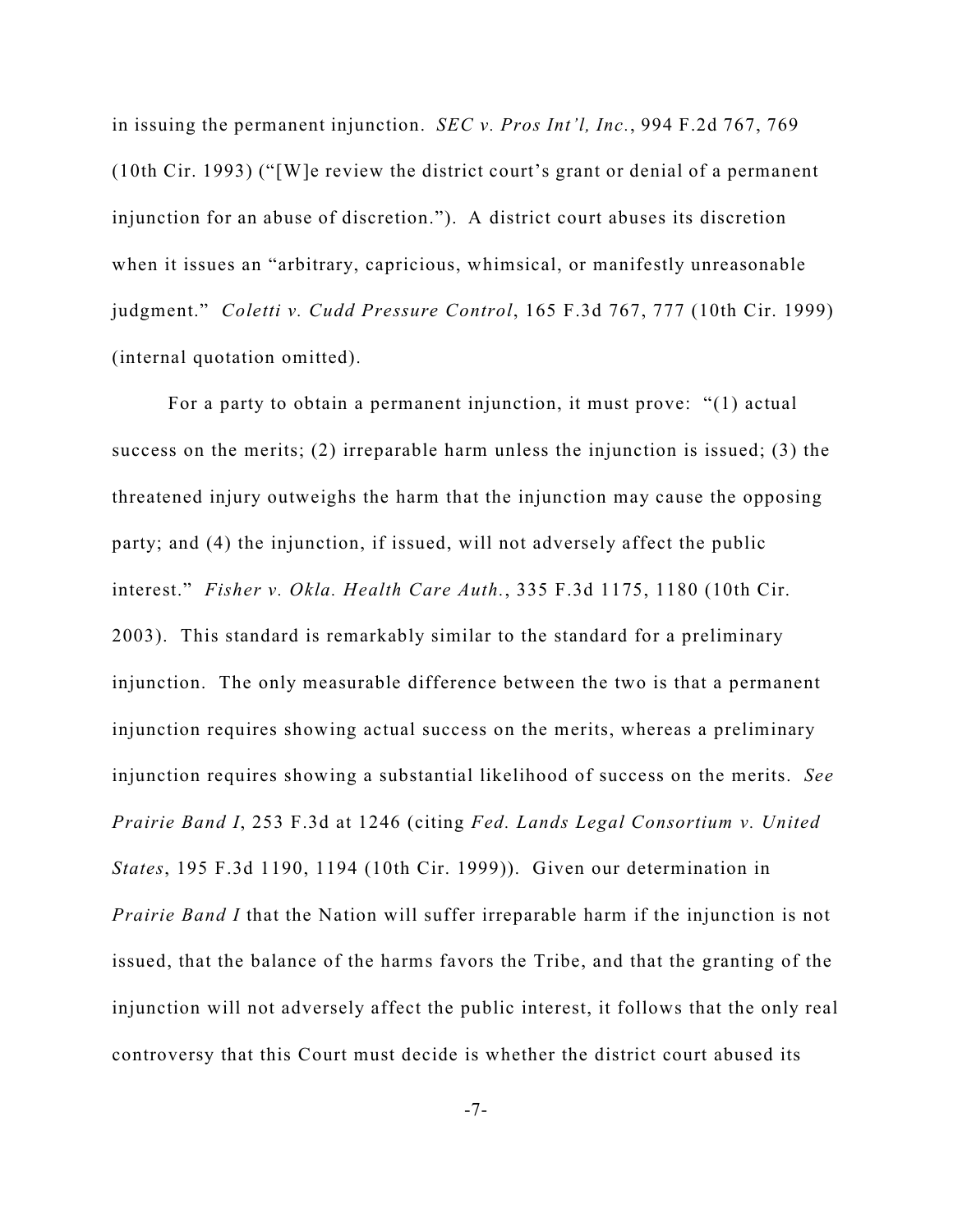in issuing the permanent injunction. *SEC v. Pros Int'l, Inc.*, 994 F.2d 767, 769 (10th Cir. 1993) ("[W]e review the district court's grant or denial of a permanent injunction for an abuse of discretion."). A district court abuses its discretion when it issues an "arbitrary, capricious, whimsical, or manifestly unreasonable judgment." *Coletti v. Cudd Pressure Control*, 165 F.3d 767, 777 (10th Cir. 1999) (internal quotation omitted).

For a party to obtain a permanent injunction, it must prove: "(1) actual success on the merits; (2) irreparable harm unless the injunction is issued; (3) the threatened injury outweighs the harm that the injunction may cause the opposing party; and (4) the injunction, if issued, will not adversely affect the public interest." *Fisher v. Okla. Health Care Auth.*, 335 F.3d 1175, 1180 (10th Cir. 2003). This standard is remarkably similar to the standard for a preliminary injunction. The only measurable difference between the two is that a permanent injunction requires showing actual success on the merits, whereas a preliminary injunction requires showing a substantial likelihood of success on the merits. *See Prairie Band I*, 253 F.3d at 1246 (citing *Fed. Lands Legal Consortium v. United States*, 195 F.3d 1190, 1194 (10th Cir. 1999)). Given our determination in *Prairie Band I* that the Nation will suffer irreparable harm if the injunction is not issued, that the balance of the harms favors the Tribe, and that the granting of the injunction will not adversely affect the public interest, it follows that the only real controversy that this Court must decide is whether the district court abused its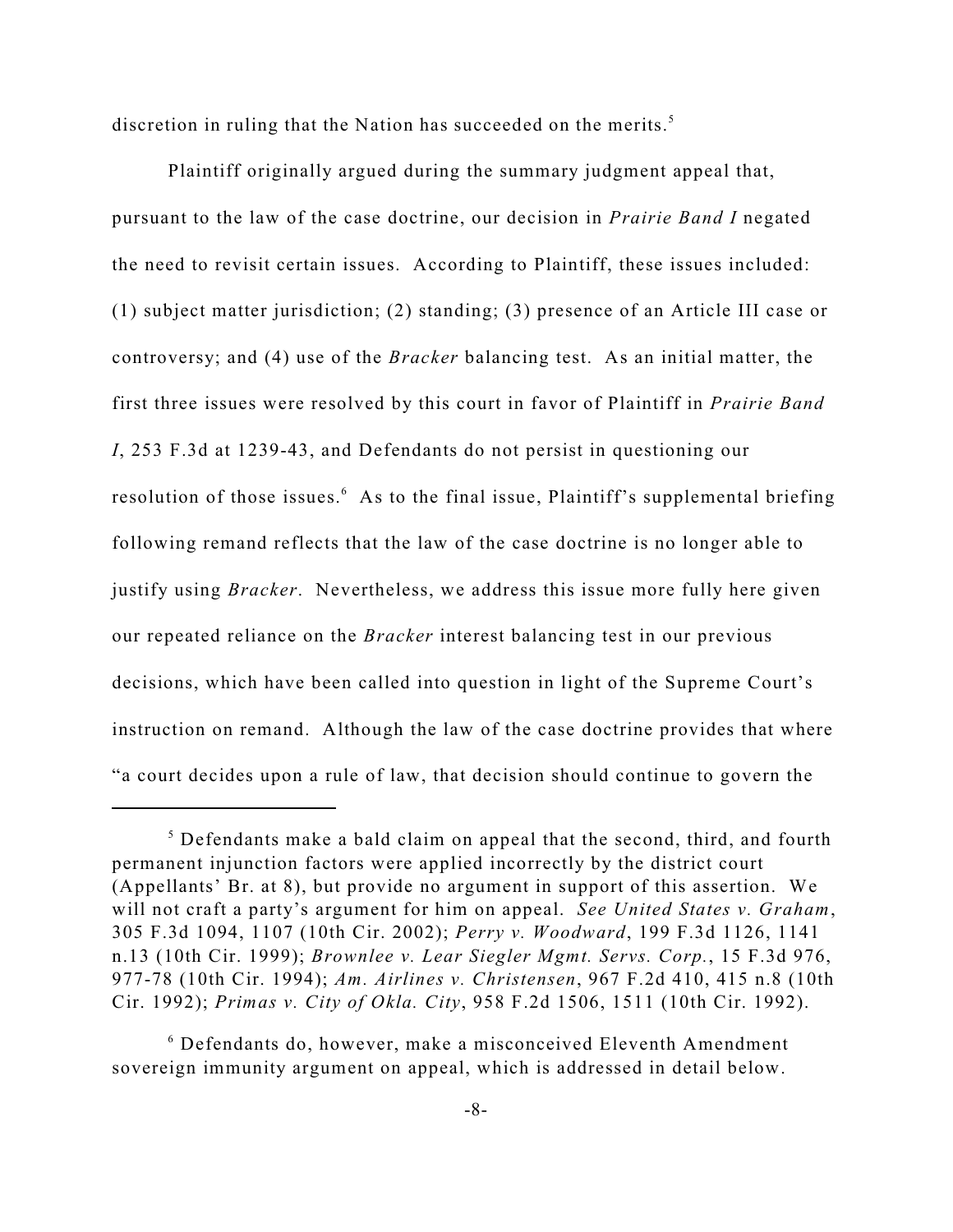discretion in ruling that the Nation has succeeded on the merits.<sup>5</sup>

Plaintiff originally argued during the summary judgment appeal that, pursuant to the law of the case doctrine, our decision in *Prairie Band I* negated the need to revisit certain issues. According to Plaintiff, these issues included: (1) subject matter jurisdiction; (2) standing; (3) presence of an Article III case or controversy; and (4) use of the *Bracker* balancing test. As an initial matter, the first three issues were resolved by this court in favor of Plaintiff in *Prairie Band I*, 253 F.3d at 1239-43, and Defendants do not persist in questioning our resolution of those issues.<sup>6</sup> As to the final issue, Plaintiff's supplemental briefing following remand reflects that the law of the case doctrine is no longer able to justify using *Bracker*. Nevertheless, we address this issue more fully here given our repeated reliance on the *Bracker* interest balancing test in our previous decisions, which have been called into question in light of the Supreme Court's instruction on remand. Although the law of the case doctrine provides that where "a court decides upon a rule of law, that decision should continue to govern the

 $5$  Defendants make a bald claim on appeal that the second, third, and fourth permanent injunction factors were applied incorrectly by the district court (Appellants' Br. at 8), but provide no argument in support of this assertion. We will not craft a party's argument for him on appeal. *See United States v. Graham*, 305 F.3d 1094, 1107 (10th Cir. 2002); *Perry v. Woodward*, 199 F.3d 1126, 1141 n.13 (10th Cir. 1999); *Brownlee v. Lear Siegler Mgmt. Servs. Corp.*, 15 F.3d 976, 977-78 (10th Cir. 1994); *Am. Airlines v. Christensen*, 967 F.2d 410, 415 n.8 (10th Cir. 1992); *Primas v. City of Okla. City*, 958 F.2d 1506, 1511 (10th Cir. 1992).

 $6$  Defendants do, however, make a misconceived Eleventh Amendment sovereign immunity argument on appeal, which is addressed in detail below.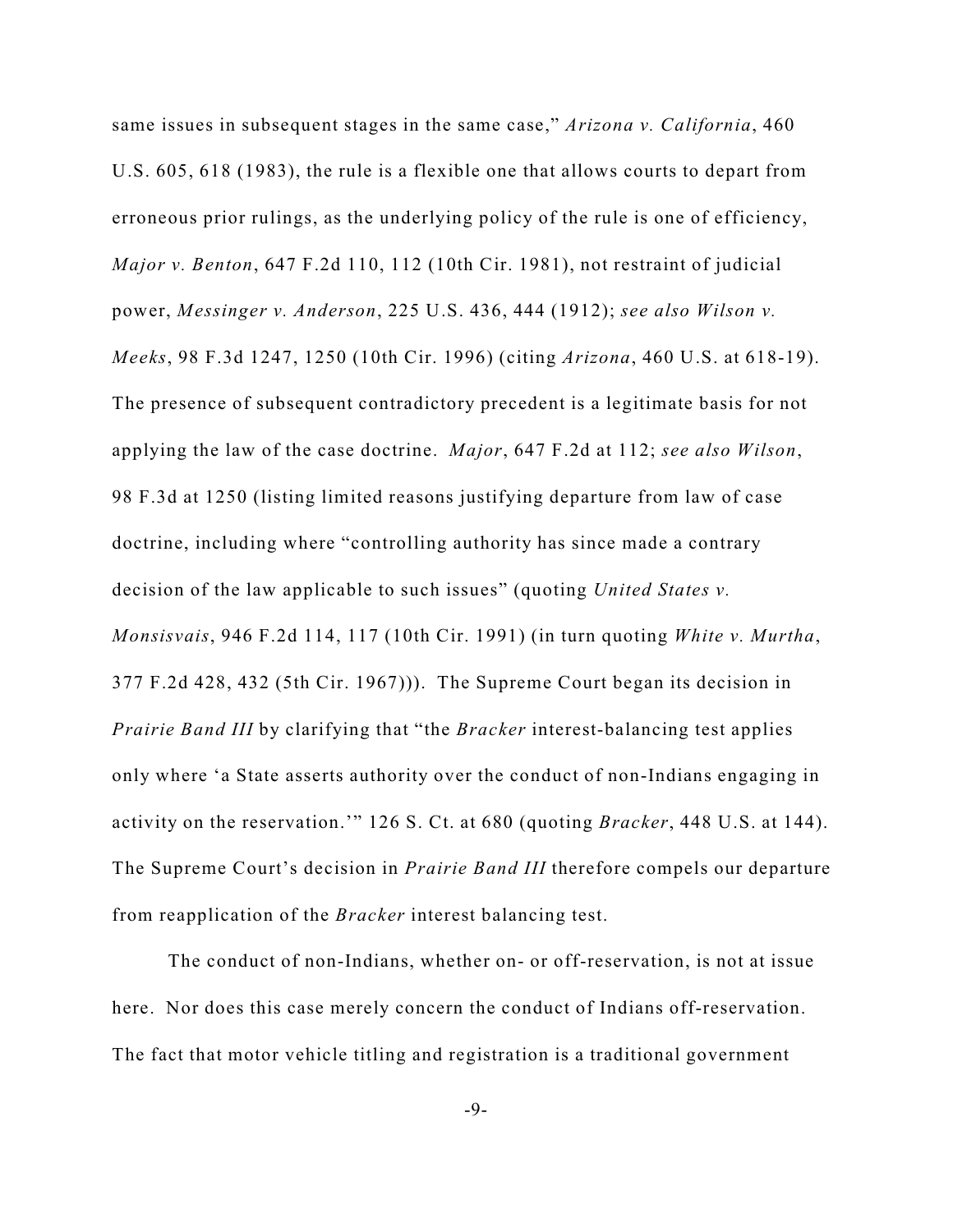same issues in subsequent stages in the same case," *Arizona v. California*, 460 U.S. 605, 618 (1983), the rule is a flexible one that allows courts to depart from erroneous prior rulings, as the underlying policy of the rule is one of efficiency, *Major v. Benton*, 647 F.2d 110, 112 (10th Cir. 1981), not restraint of judicial power, *Messinger v. Anderson*, 225 U.S. 436, 444 (1912); *see also Wilson v. Meeks*, 98 F.3d 1247, 1250 (10th Cir. 1996) (citing *Arizona*, 460 U.S. at 618-19). The presence of subsequent contradictory precedent is a legitimate basis for not applying the law of the case doctrine. *Major*, 647 F.2d at 112; *see also Wilson*, 98 F.3d at 1250 (listing limited reasons justifying departure from law of case doctrine, including where "controlling authority has since made a contrary decision of the law applicable to such issues" (quoting *United States v. Monsisvais*, 946 F.2d 114, 117 (10th Cir. 1991) (in turn quoting *White v. Murtha*, 377 F.2d 428, 432 (5th Cir. 1967))). The Supreme Court began its decision in *Prairie Band III* by clarifying that "the *Bracker* interest-balancing test applies only where 'a State asserts authority over the conduct of non-Indians engaging in activity on the reservation.'" 126 S. Ct. at 680 (quoting *Bracker*, 448 U.S. at 144). The Supreme Court's decision in *Prairie Band III* therefore compels our departure from reapplication of the *Bracker* interest balancing test.

The conduct of non-Indians, whether on- or off-reservation, is not at issue here. Nor does this case merely concern the conduct of Indians off-reservation. The fact that motor vehicle titling and registration is a traditional government

-9-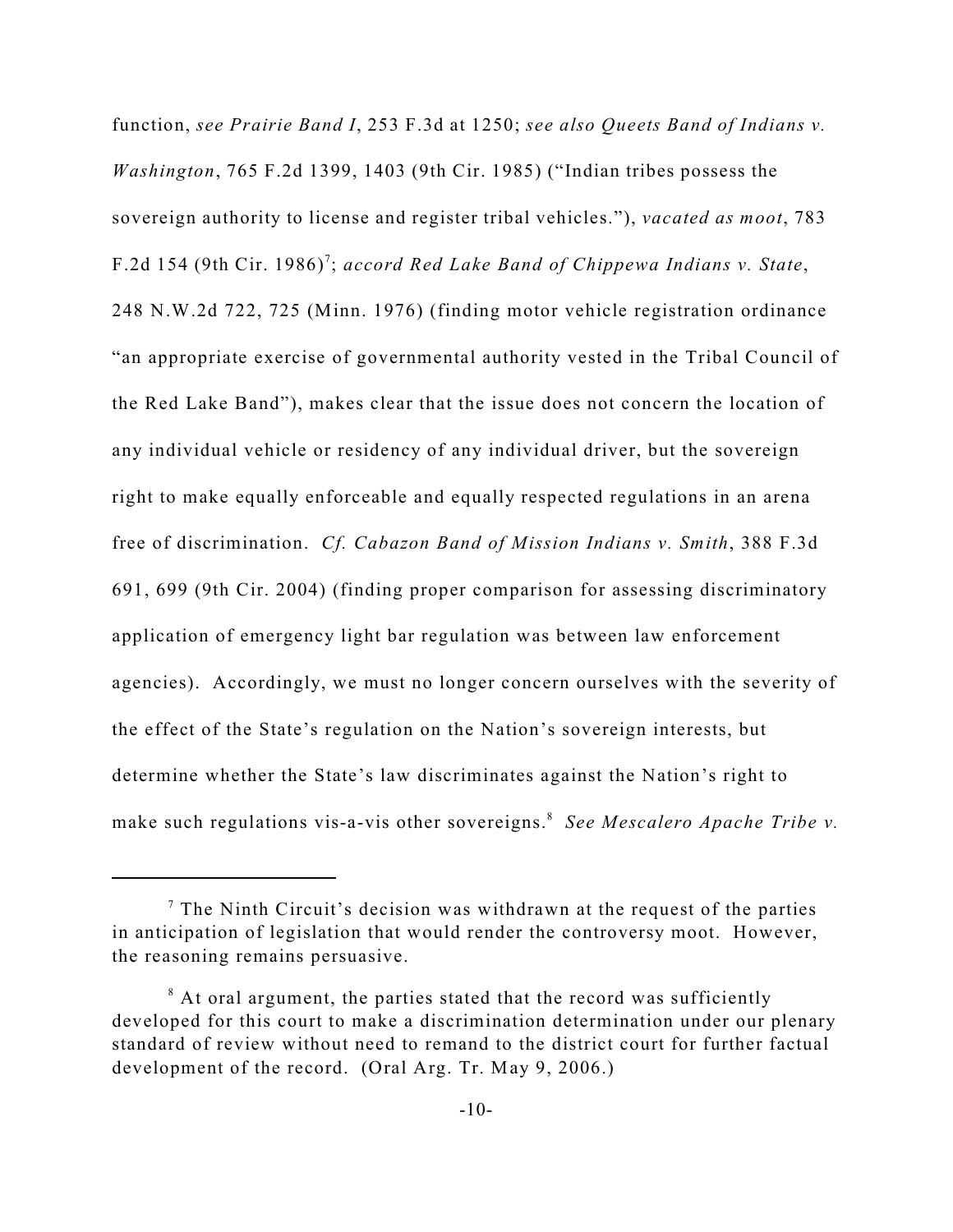function, *see Prairie Band I*, 253 F.3d at 1250; *see also Queets Band of Indians v. Washington*, 765 F.2d 1399, 1403 (9th Cir. 1985) ("Indian tribes possess the sovereign authority to license and register tribal vehicles."), *vacated as moot*, 783 F.2d 154 (9th Cir. 1986)<sup>7</sup>; accord Red Lake Band of Chippewa Indians v. State, 248 N.W.2d 722, 725 (Minn. 1976) (finding motor vehicle registration ordinance "an appropriate exercise of governmental authority vested in the Tribal Council of the Red Lake Band"), makes clear that the issue does not concern the location of any individual vehicle or residency of any individual driver, but the sovereign right to make equally enforceable and equally respected regulations in an arena free of discrimination. *Cf. Cabazon Band of Mission Indians v. Smith*, 388 F.3d 691, 699 (9th Cir. 2004) (finding proper comparison for assessing discriminatory application of emergency light bar regulation was between law enforcement agencies). Accordingly, we must no longer concern ourselves with the severity of the effect of the State's regulation on the Nation's sovereign interests, but determine whether the State's law discriminates against the Nation's right to make such regulations vis-a-vis other sovereigns.<sup>8</sup> See Mescalero Apache Tribe v.

 $\frac{7}{7}$  The Ninth Circuit's decision was withdrawn at the request of the parties in anticipation of legislation that would render the controversy moot. However, the reasoning remains persuasive.

 $\delta$  At oral argument, the parties stated that the record was sufficiently developed for this court to make a discrimination determination under our plenary standard of review without need to remand to the district court for further factual development of the record. (Oral Arg. Tr. May 9, 2006.)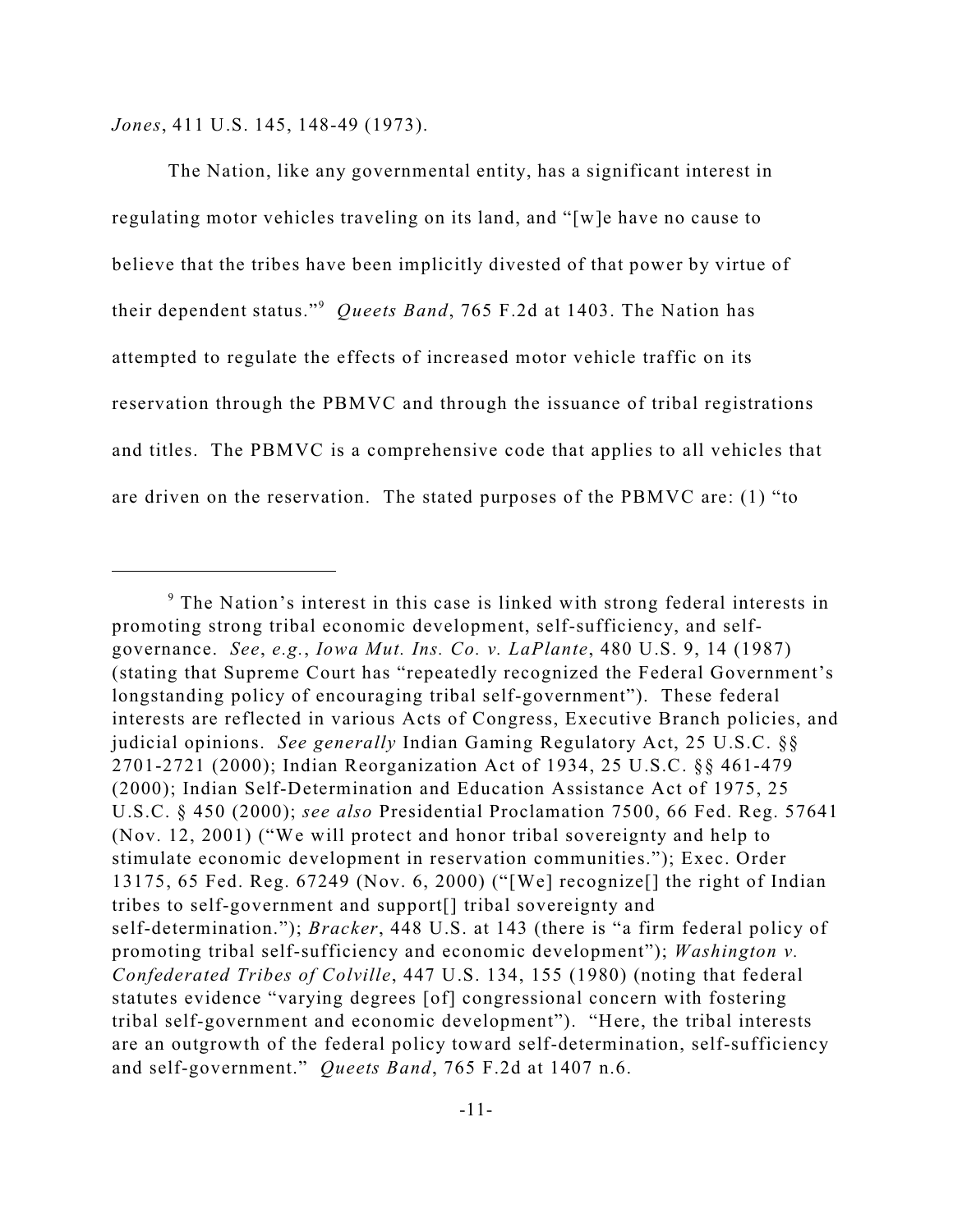*Jones*, 411 U.S. 145, 148-49 (1973).

The Nation, like any governmental entity, has a significant interest in regulating motor vehicles traveling on its land, and "[w]e have no cause to believe that the tribes have been implicitly divested of that power by virtue of their dependent status."<sup>9</sup> Queets Band, 765 F.2d at 1403. The Nation has attempted to regulate the effects of increased motor vehicle traffic on its reservation through the PBMVC and through the issuance of tribal registrations and titles. The PBMVC is a comprehensive code that applies to all vehicles that are driven on the reservation. The stated purposes of the PBMVC are: (1) "to

 $\degree$  The Nation's interest in this case is linked with strong federal interests in promoting strong tribal economic development, self-sufficiency, and selfgovernance. *See*, *e.g.*, *Iowa Mut. Ins. Co. v. LaPlante*, 480 U.S. 9, 14 (1987) (stating that Supreme Court has "repeatedly recognized the Federal Government's longstanding policy of encouraging tribal self-government"). These federal interests are reflected in various Acts of Congress, Executive Branch policies, and judicial opinions. *See generally* Indian Gaming Regulatory Act, 25 U.S.C. §§ 2701-2721 (2000); Indian Reorganization Act of 1934, 25 U.S.C. §§ 461-479 (2000); Indian Self-Determination and Education Assistance Act of 1975, 25 U.S.C. § 450 (2000); *see also* Presidential Proclamation 7500, 66 Fed. Reg. 57641 (Nov. 12, 2001) ("We will protect and honor tribal sovereignty and help to stimulate economic development in reservation communities."); Exec. Order 13175, 65 Fed. Reg. 67249 (Nov. 6, 2000) ("[We] recognize[] the right of Indian tribes to self-government and support[] tribal sovereignty and self-determination."); *Bracker*, 448 U.S. at 143 (there is "a firm federal policy of promoting tribal self-sufficiency and economic development"); *Washington v. Confederated Tribes of Colville*, 447 U.S. 134, 155 (1980) (noting that federal statutes evidence "varying degrees [of] congressional concern with fostering tribal self-government and economic development"). "Here, the tribal interests are an outgrowth of the federal policy toward self-determination, self-sufficiency and self-government." *Queets Band*, 765 F.2d at 1407 n.6.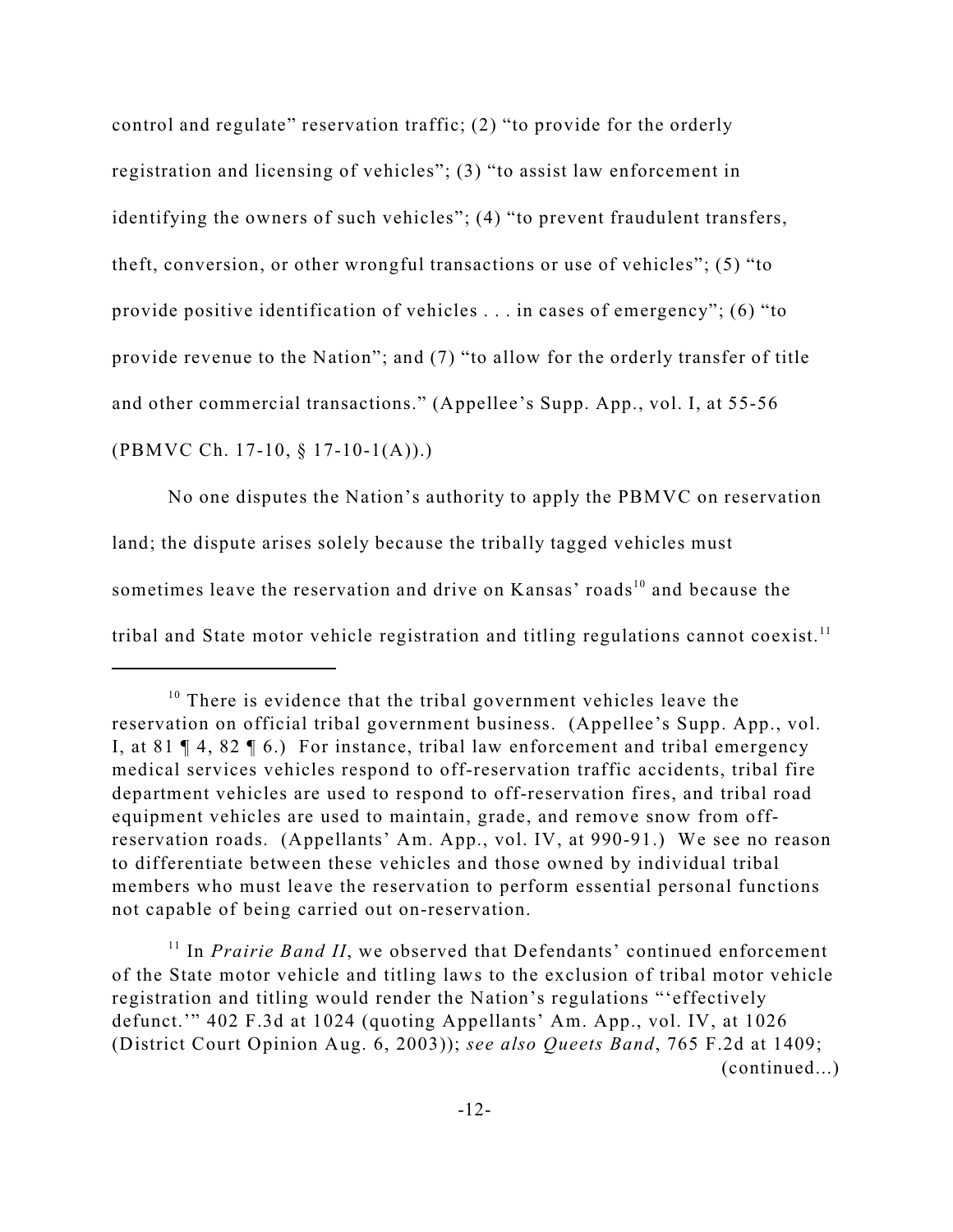control and regulate" reservation traffic; (2) "to provide for the orderly registration and licensing of vehicles"; (3) "to assist law enforcement in identifying the owners of such vehicles"; (4) "to prevent fraudulent transfers, theft, conversion, or other wrongful transactions or use of vehicles"; (5) "to provide positive identification of vehicles . . . in cases of emergency"; (6) "to provide revenue to the Nation"; and (7) "to allow for the orderly transfer of title and other commercial transactions." (Appellee's Supp. App., vol. I, at 55-56 (PBMVC Ch. 17-10, § 17-10-1(A)).)

No one disputes the Nation's authority to apply the PBMVC on reservation land; the dispute arises solely because the tribally tagged vehicles must sometimes leave the reservation and drive on Kansas' roads<sup>10</sup> and because the tribal and State motor vehicle registration and titling regulations cannot coexist.<sup>11</sup>

 $10$  There is evidence that the tribal government vehicles leave the reservation on official tribal government business. (Appellee's Supp. App., vol. I, at 81 ¶ 4, 82 ¶ 6.) For instance, tribal law enforcement and tribal emergency medical services vehicles respond to off-reservation traffic accidents, tribal fire department vehicles are used to respond to off-reservation fires, and tribal road equipment vehicles are used to maintain, grade, and remove snow from offreservation roads. (Appellants' Am. App., vol. IV, at 990-91.) We see no reason to differentiate between these vehicles and those owned by individual tribal members who must leave the reservation to perform essential personal functions not capable of being carried out on-reservation.

 $11$  In *Prairie Band II*, we observed that Defendants' continued enforcement of the State motor vehicle and titling laws to the exclusion of tribal motor vehicle registration and titling would render the Nation's regulations "'effectively defunct.'" 402 F.3d at 1024 (quoting Appellants' Am. App., vol. IV, at 1026 (District Court Opinion Aug. 6, 2003)); *see also Queets Band*, 765 F.2d at 1409; (continued...)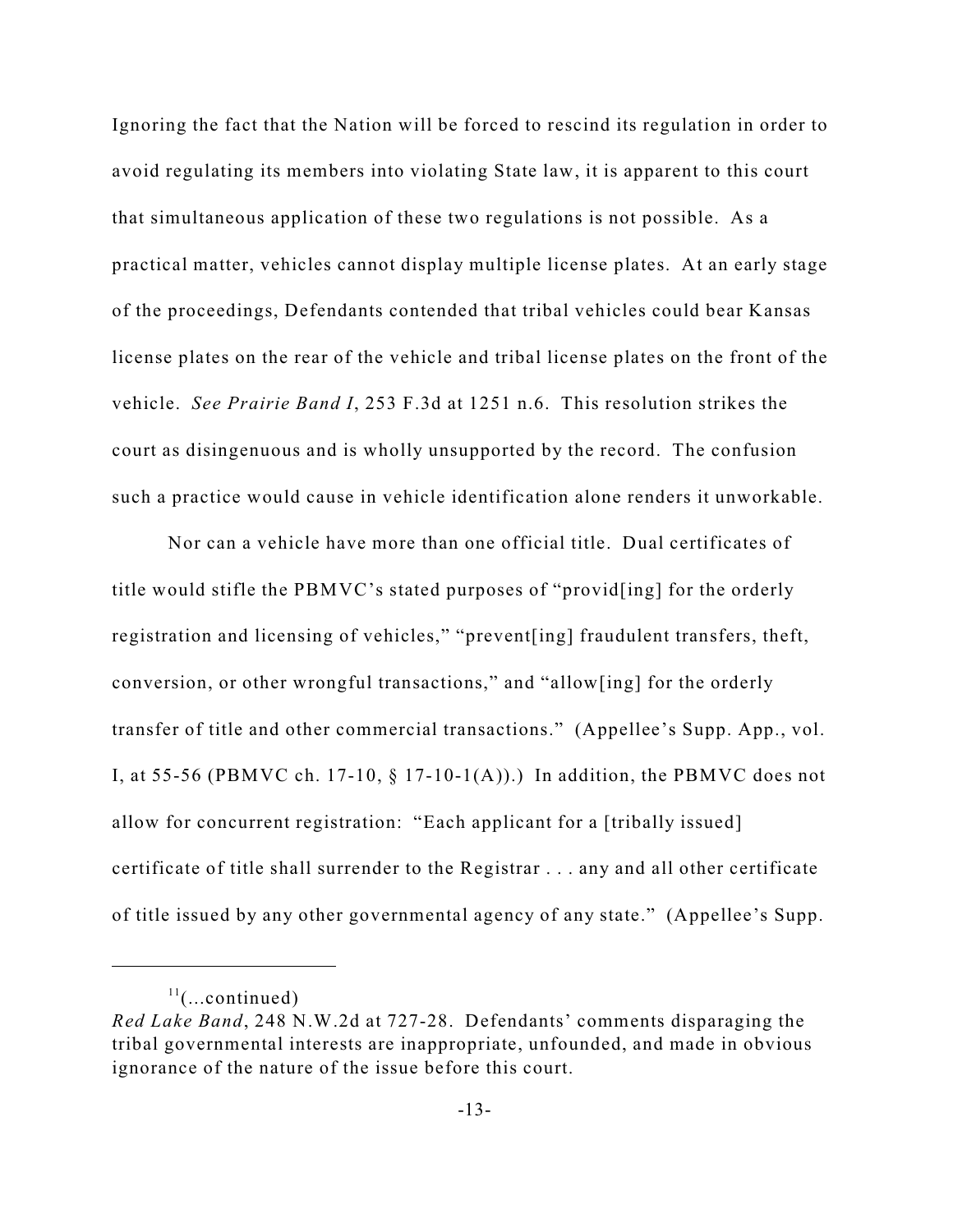Ignoring the fact that the Nation will be forced to rescind its regulation in order to avoid regulating its members into violating State law, it is apparent to this court that simultaneous application of these two regulations is not possible. As a practical matter, vehicles cannot display multiple license plates. At an early stage of the proceedings, Defendants contended that tribal vehicles could bear Kansas license plates on the rear of the vehicle and tribal license plates on the front of the vehicle. *See Prairie Band I*, 253 F.3d at 1251 n.6. This resolution strikes the court as disingenuous and is wholly unsupported by the record. The confusion such a practice would cause in vehicle identification alone renders it unworkable.

Nor can a vehicle have more than one official title. Dual certificates of title would stifle the PBMVC's stated purposes of "provid[ing] for the orderly registration and licensing of vehicles," "prevent[ing] fraudulent transfers, theft, conversion, or other wrongful transactions," and "allow[ing] for the orderly transfer of title and other commercial transactions." (Appellee's Supp. App., vol. I, at 55-56 (PBMVC ch. 17-10,  $\S$  17-10-1(A)).) In addition, the PBMVC does not allow for concurrent registration: "Each applicant for a [tribally issued] certificate of title shall surrender to the Registrar . . . any and all other certificate of title issued by any other governmental agency of any state." (Appellee's Supp.

 $11$ (...continued)

*Red Lake Band*, 248 N.W.2d at 727-28. Defendants' comments disparaging the tribal governmental interests are inappropriate, unfounded, and made in obvious ignorance of the nature of the issue before this court.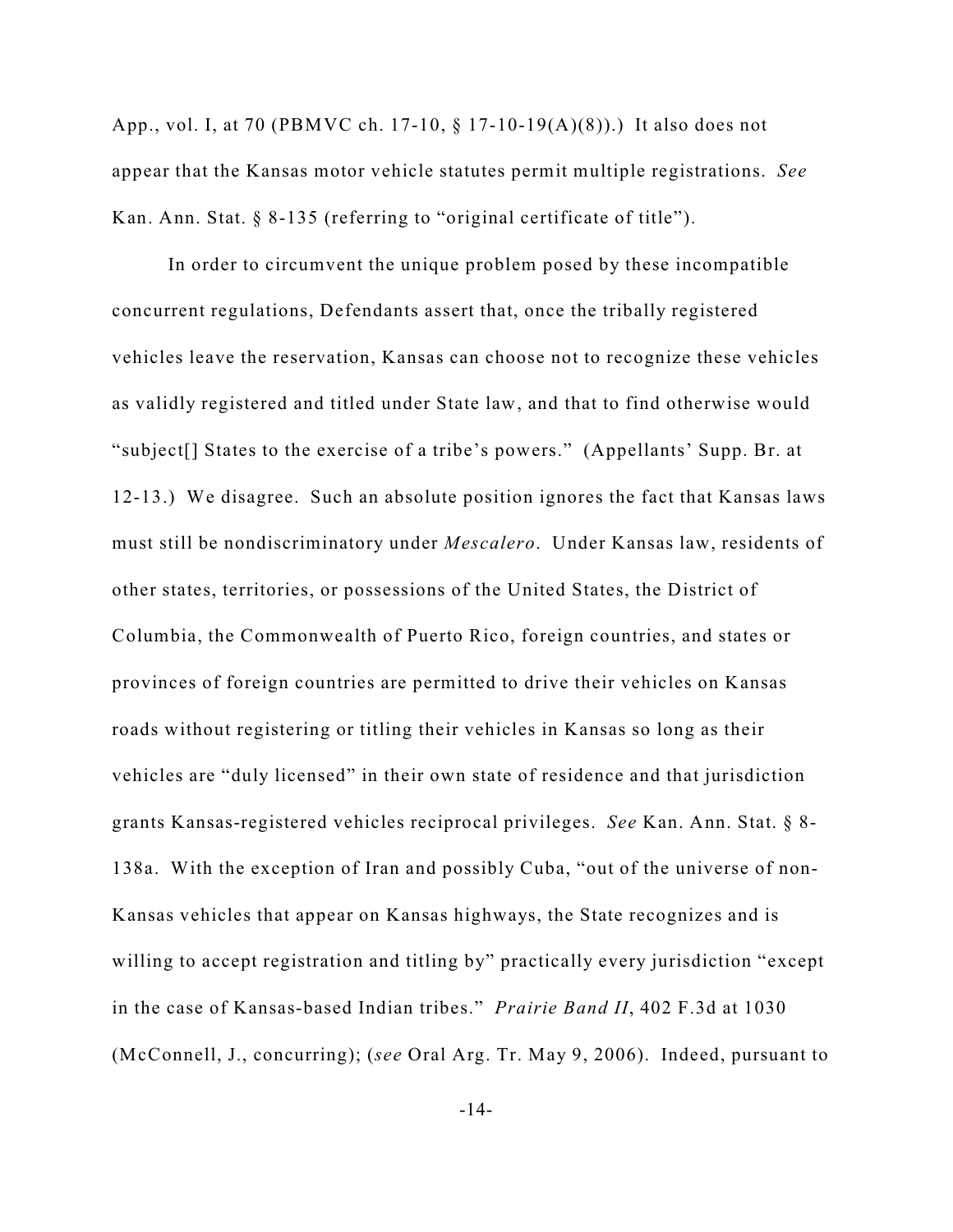App., vol. I, at 70 (PBMVC ch. 17-10, § 17-10-19(A)(8)).) It also does not appear that the Kansas motor vehicle statutes permit multiple registrations. *See* Kan. Ann. Stat.  $\S$  8-135 (referring to "original certificate of title").

In order to circumvent the unique problem posed by these incompatible concurrent regulations, Defendants assert that, once the tribally registered vehicles leave the reservation, Kansas can choose not to recognize these vehicles as validly registered and titled under State law, and that to find otherwise would "subject[] States to the exercise of a tribe's powers." (Appellants' Supp. Br. at 12-13.) We disagree. Such an absolute position ignores the fact that Kansas laws must still be nondiscriminatory under *Mescalero*. Under Kansas law, residents of other states, territories, or possessions of the United States, the District of Columbia, the Commonwealth of Puerto Rico, foreign countries, and states or provinces of foreign countries are permitted to drive their vehicles on Kansas roads without registering or titling their vehicles in Kansas so long as their vehicles are "duly licensed" in their own state of residence and that jurisdiction grants Kansas-registered vehicles reciprocal privileges. *See* Kan. Ann. Stat. § 8- 138a. With the exception of Iran and possibly Cuba, "out of the universe of non-Kansas vehicles that appear on Kansas highways, the State recognizes and is willing to accept registration and titling by" practically every jurisdiction "except in the case of Kansas-based Indian tribes." *Prairie Band II*, 402 F.3d at 1030 (McConnell, J., concurring); (*see* Oral Arg. Tr. May 9, 2006). Indeed, pursuant to

-14-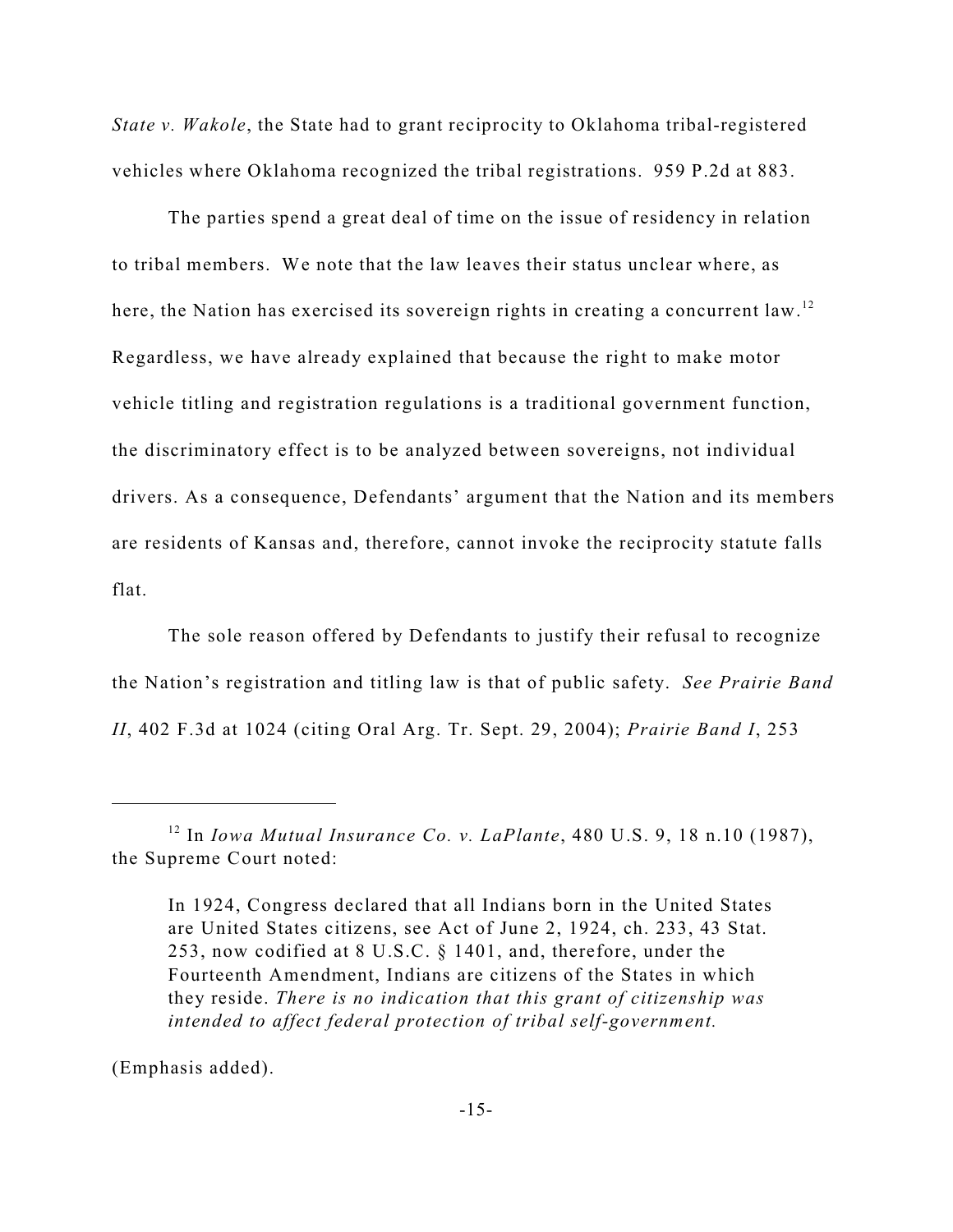*State v. Wakole*, the State had to grant reciprocity to Oklahoma tribal-registered vehicles where Oklahoma recognized the tribal registrations. 959 P.2d at 883.

The parties spend a great deal of time on the issue of residency in relation to tribal members. We note that the law leaves their status unclear where, as here, the Nation has exercised its sovereign rights in creating a concurrent law.<sup>12</sup> Regardless, we have already explained that because the right to make motor vehicle titling and registration regulations is a traditional government function, the discriminatory effect is to be analyzed between sovereigns, not individual drivers. As a consequence, Defendants' argument that the Nation and its members are residents of Kansas and, therefore, cannot invoke the reciprocity statute falls flat.

The sole reason offered by Defendants to justify their refusal to recognize the Nation's registration and titling law is that of public safety. *See Prairie Band II*, 402 F.3d at 1024 (citing Oral Arg. Tr. Sept. 29, 2004); *Prairie Band I*, 253

(Emphasis added).

<sup>&</sup>lt;sup>12</sup> In *Iowa Mutual Insurance Co. v. LaPlante*, 480 U.S. 9, 18 n.10 (1987), the Supreme Court noted:

In 1924, Congress declared that all Indians born in the United States are United States citizens, see Act of June 2, 1924, ch. 233, 43 Stat. 253, now codified at 8 U.S.C. § 1401, and, therefore, under the Fourteenth Amendment, Indians are citizens of the States in which they reside. *There is no indication that this grant of citizenship was intended to affect federal protection of tribal self-government.*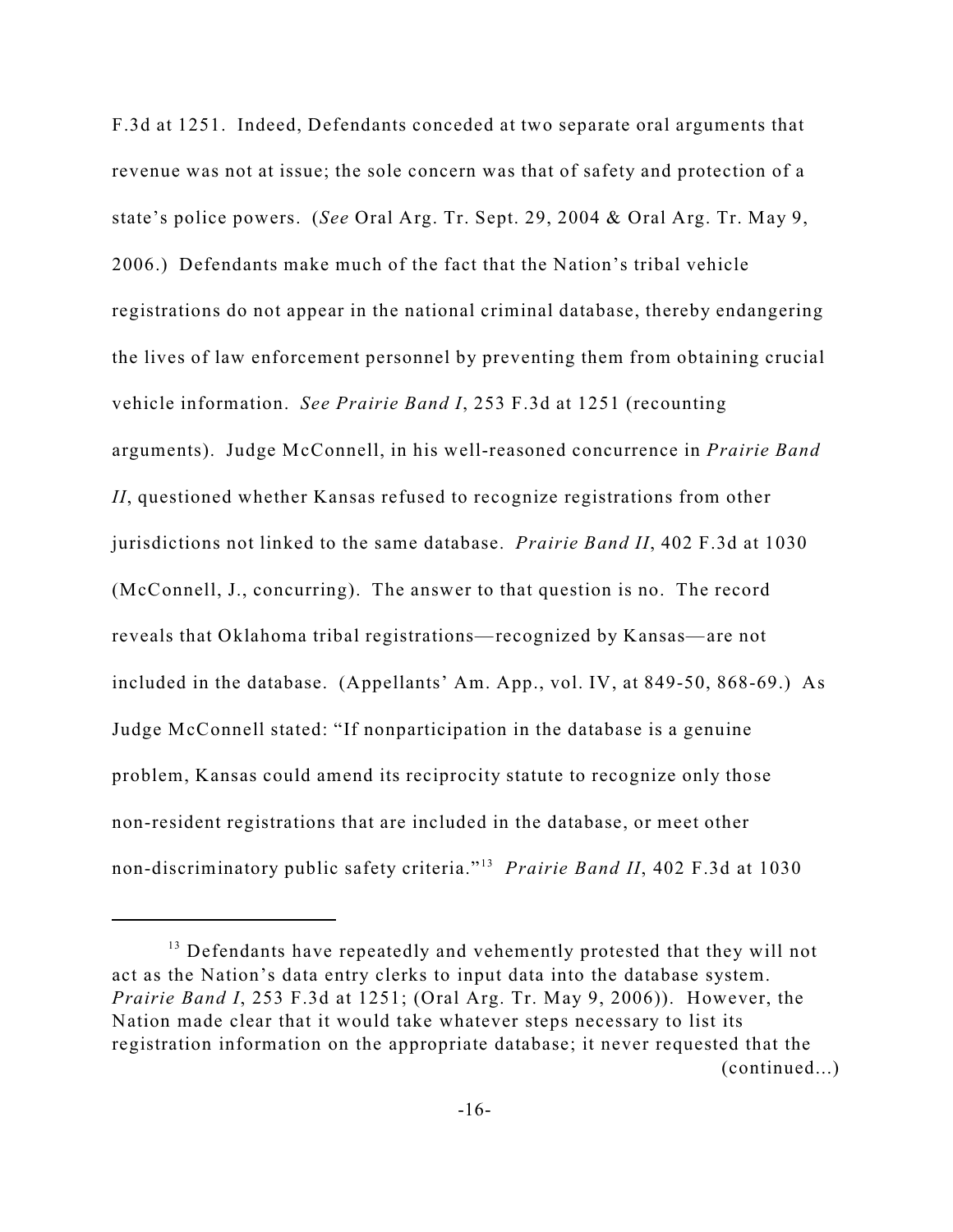F.3d at 1251. Indeed, Defendants conceded at two separate oral arguments that revenue was not at issue; the sole concern was that of safety and protection of a state's police powers. (*See* Oral Arg. Tr. Sept. 29, 2004 & Oral Arg. Tr. May 9, 2006.) Defendants make much of the fact that the Nation's tribal vehicle registrations do not appear in the national criminal database, thereby endangering the lives of law enforcement personnel by preventing them from obtaining crucial vehicle information. *See Prairie Band I*, 253 F.3d at 1251 (recounting arguments). Judge McConnell, in his well-reasoned concurrence in *Prairie Band II*, questioned whether Kansas refused to recognize registrations from other jurisdictions not linked to the same database. *Prairie Band II*, 402 F.3d at 1030 (McConnell, J., concurring). The answer to that question is no. The record reveals that Oklahoma tribal registrations—recognized by Kansas—are not included in the database. (Appellants' Am. App., vol. IV, at 849-50, 868-69.) As Judge McConnell stated: "If nonparticipation in the database is a genuine problem, Kansas could amend its reciprocity statute to recognize only those non-resident registrations that are included in the database, or meet other non-discriminatory public safety criteria."<sup>13</sup> Prairie Band II, 402 F.3d at 1030

 $13$  Defendants have repeatedly and vehemently protested that they will not act as the Nation's data entry clerks to input data into the database system. *Prairie Band I*, 253 F.3d at 1251; (Oral Arg. Tr. May 9, 2006)). However, the Nation made clear that it would take whatever steps necessary to list its registration information on the appropriate database; it never requested that the (continued...)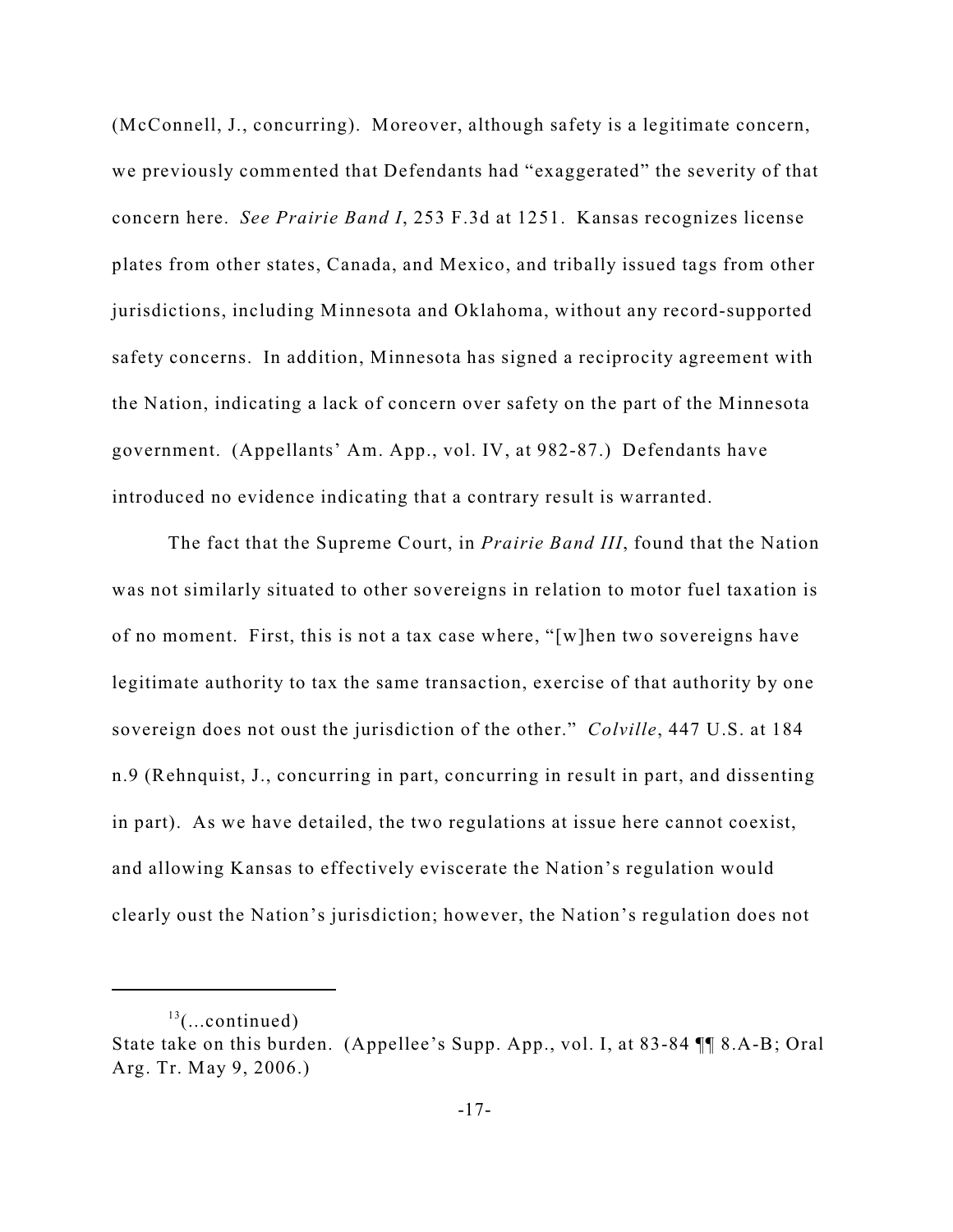(McConnell, J., concurring). Moreover, although safety is a legitimate concern, we previously commented that Defendants had "exaggerated" the severity of that concern here. *See Prairie Band I*, 253 F.3d at 1251. Kansas recognizes license plates from other states, Canada, and Mexico, and tribally issued tags from other jurisdictions, including Minnesota and Oklahoma, without any record-supported safety concerns. In addition, Minnesota has signed a reciprocity agreement with the Nation, indicating a lack of concern over safety on the part of the Minnesota government. (Appellants' Am. App., vol. IV, at 982-87.) Defendants have introduced no evidence indicating that a contrary result is warranted.

The fact that the Supreme Court, in *Prairie Band III*, found that the Nation was not similarly situated to other sovereigns in relation to motor fuel taxation is of no moment. First, this is not a tax case where, "[w]hen two sovereigns have legitimate authority to tax the same transaction, exercise of that authority by one sovereign does not oust the jurisdiction of the other." *Colville*, 447 U.S. at 184 n.9 (Rehnquist, J., concurring in part, concurring in result in part, and dissenting in part). As we have detailed, the two regulations at issue here cannot coexist, and allowing Kansas to effectively eviscerate the Nation's regulation would clearly oust the Nation's jurisdiction; however, the Nation's regulation does not

 $^{13}$ (...continued)

State take on this burden. (Appellee's Supp. App., vol. I, at 83-84 ¶¶ 8.A-B; Oral Arg. Tr. May 9, 2006.)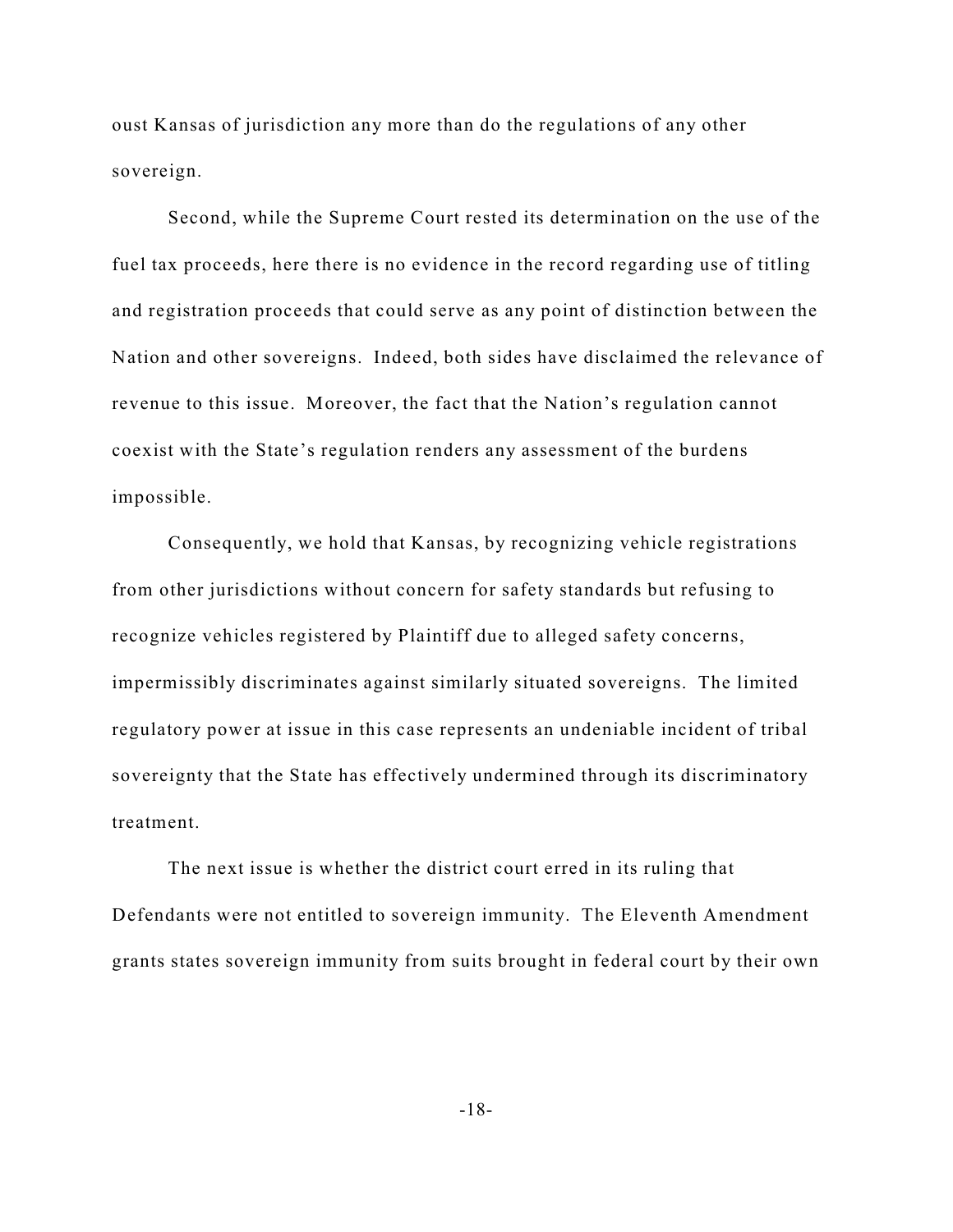oust Kansas of jurisdiction any more than do the regulations of any other sovereign.

Second, while the Supreme Court rested its determination on the use of the fuel tax proceeds, here there is no evidence in the record regarding use of titling and registration proceeds that could serve as any point of distinction between the Nation and other sovereigns. Indeed, both sides have disclaimed the relevance of revenue to this issue. Moreover, the fact that the Nation's regulation cannot coexist with the State's regulation renders any assessment of the burdens impossible.

Consequently, we hold that Kansas, by recognizing vehicle registrations from other jurisdictions without concern for safety standards but refusing to recognize vehicles registered by Plaintiff due to alleged safety concerns, impermissibly discriminates against similarly situated sovereigns. The limited regulatory power at issue in this case represents an undeniable incident of tribal sovereignty that the State has effectively undermined through its discriminatory treatment.

The next issue is whether the district court erred in its ruling that Defendants were not entitled to sovereign immunity. The Eleventh Amendment grants states sovereign immunity from suits brought in federal court by their own

-18-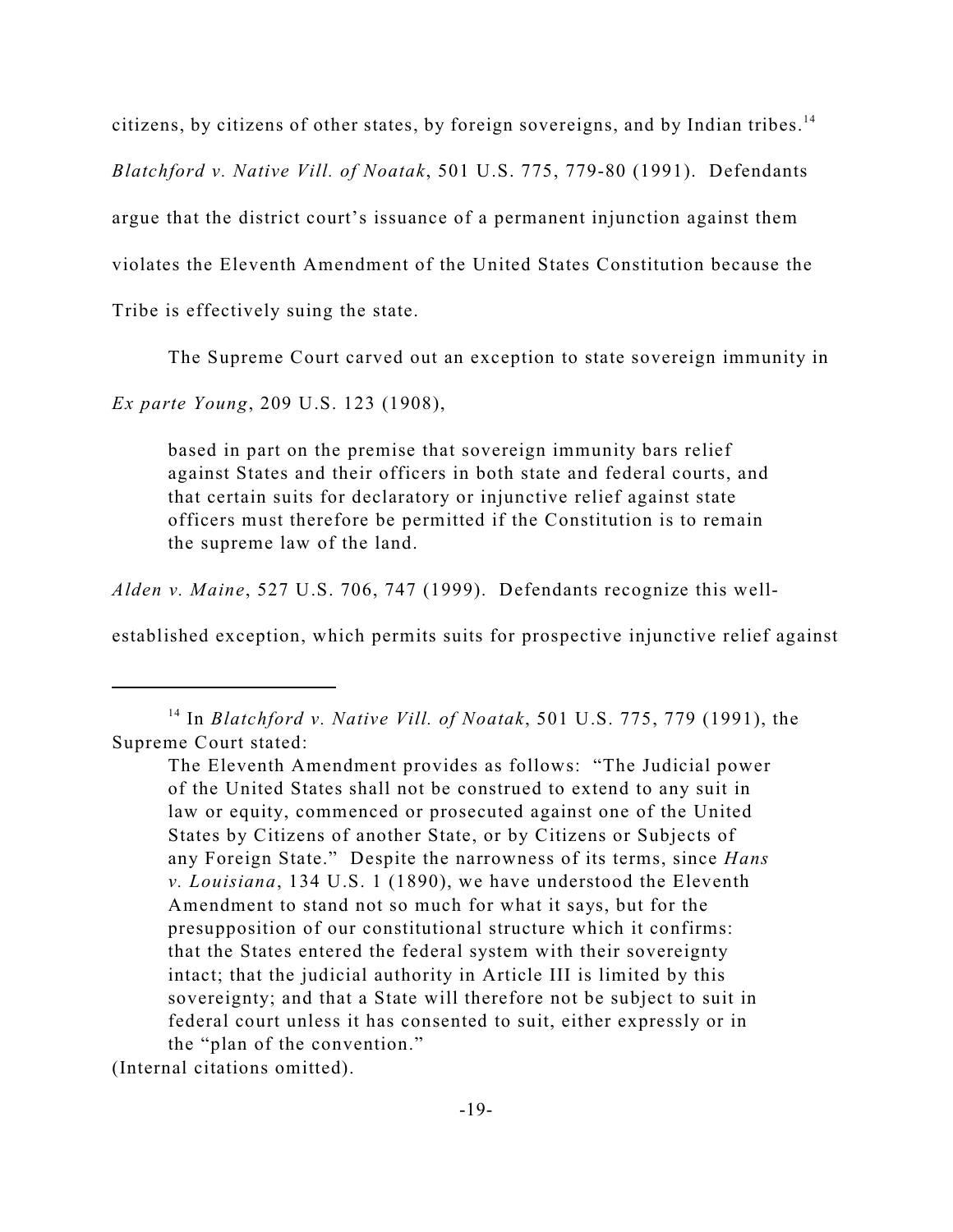citizens, by citizens of other states, by foreign sovereigns, and by Indian tribes.<sup>14</sup>

*Blatchford v. Native Vill. of Noatak*, 501 U.S. 775, 779-80 (1991). Defendants

argue that the district court's issuance of a permanent injunction against them

violates the Eleventh Amendment of the United States Constitution because the

Tribe is effectively suing the state.

The Supreme Court carved out an exception to state sovereign immunity in

*Ex parte Young*, 209 U.S. 123 (1908),

based in part on the premise that sovereign immunity bars relief against States and their officers in both state and federal courts, and that certain suits for declaratory or injunctive relief against state officers must therefore be permitted if the Constitution is to remain the supreme law of the land.

*Alden v. Maine*, 527 U.S. 706, 747 (1999). Defendants recognize this well-

established exception, which permits suits for prospective injunctive relief against

(Internal citations omitted).

<sup>&</sup>lt;sup>14</sup> In *Blatchford v. Native Vill. of Noatak*, 501 U.S. 775, 779 (1991), the Supreme Court stated:

The Eleventh Amendment provides as follows: "The Judicial power of the United States shall not be construed to extend to any suit in law or equity, commenced or prosecuted against one of the United States by Citizens of another State, or by Citizens or Subjects of any Foreign State." Despite the narrowness of its terms, since *Hans v. Louisiana*, 134 U.S. 1 (1890), we have understood the Eleventh Amendment to stand not so much for what it says, but for the presupposition of our constitutional structure which it confirms: that the States entered the federal system with their sovereignty intact; that the judicial authority in Article III is limited by this sovereignty; and that a State will therefore not be subject to suit in federal court unless it has consented to suit, either expressly or in the "plan of the convention."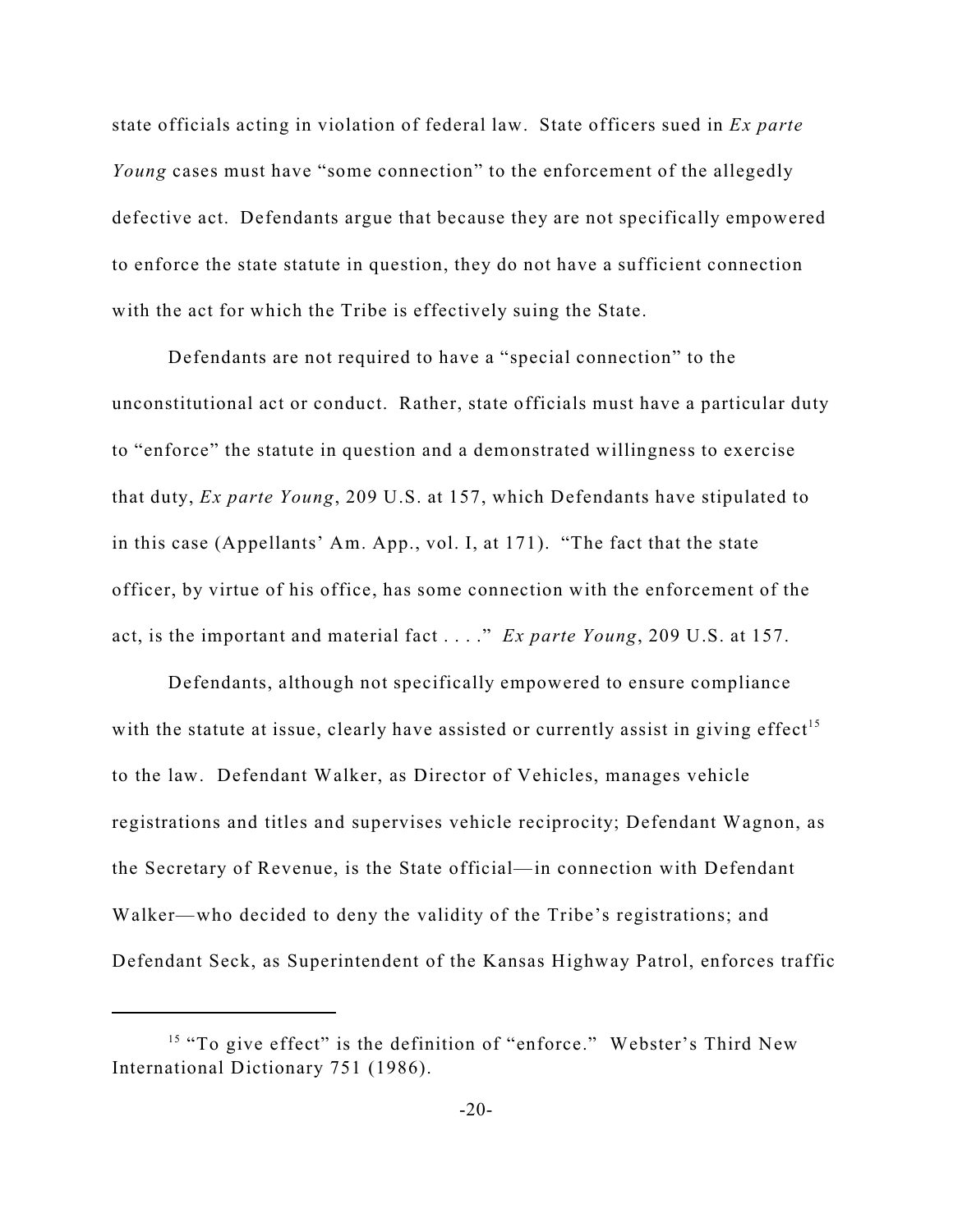state officials acting in violation of federal law. State officers sued in *Ex parte Young* cases must have "some connection" to the enforcement of the allegedly defective act. Defendants argue that because they are not specifically empowered to enforce the state statute in question, they do not have a sufficient connection with the act for which the Tribe is effectively suing the State.

Defendants are not required to have a "special connection" to the unconstitutional act or conduct. Rather, state officials must have a particular duty to "enforce" the statute in question and a demonstrated willingness to exercise that duty, *Ex parte Young*, 209 U.S. at 157, which Defendants have stipulated to in this case (Appellants' Am. App., vol. I, at 171). "The fact that the state officer, by virtue of his office, has some connection with the enforcement of the act, is the important and material fact . . . ." *Ex parte Young*, 209 U.S. at 157.

Defendants, although not specifically empowered to ensure compliance with the statute at issue, clearly have assisted or currently assist in giving effect<sup>15</sup> to the law. Defendant Walker, as Director of Vehicles, manages vehicle registrations and titles and supervises vehicle reciprocity; Defendant Wagnon, as the Secretary of Revenue, is the State official—in connection with Defendant Walker—who decided to deny the validity of the Tribe's registrations; and Defendant Seck, as Superintendent of the Kansas Highway Patrol, enforces traffic

 $15$  "To give effect" is the definition of "enforce." Webster's Third New International Dictionary 751 (1986).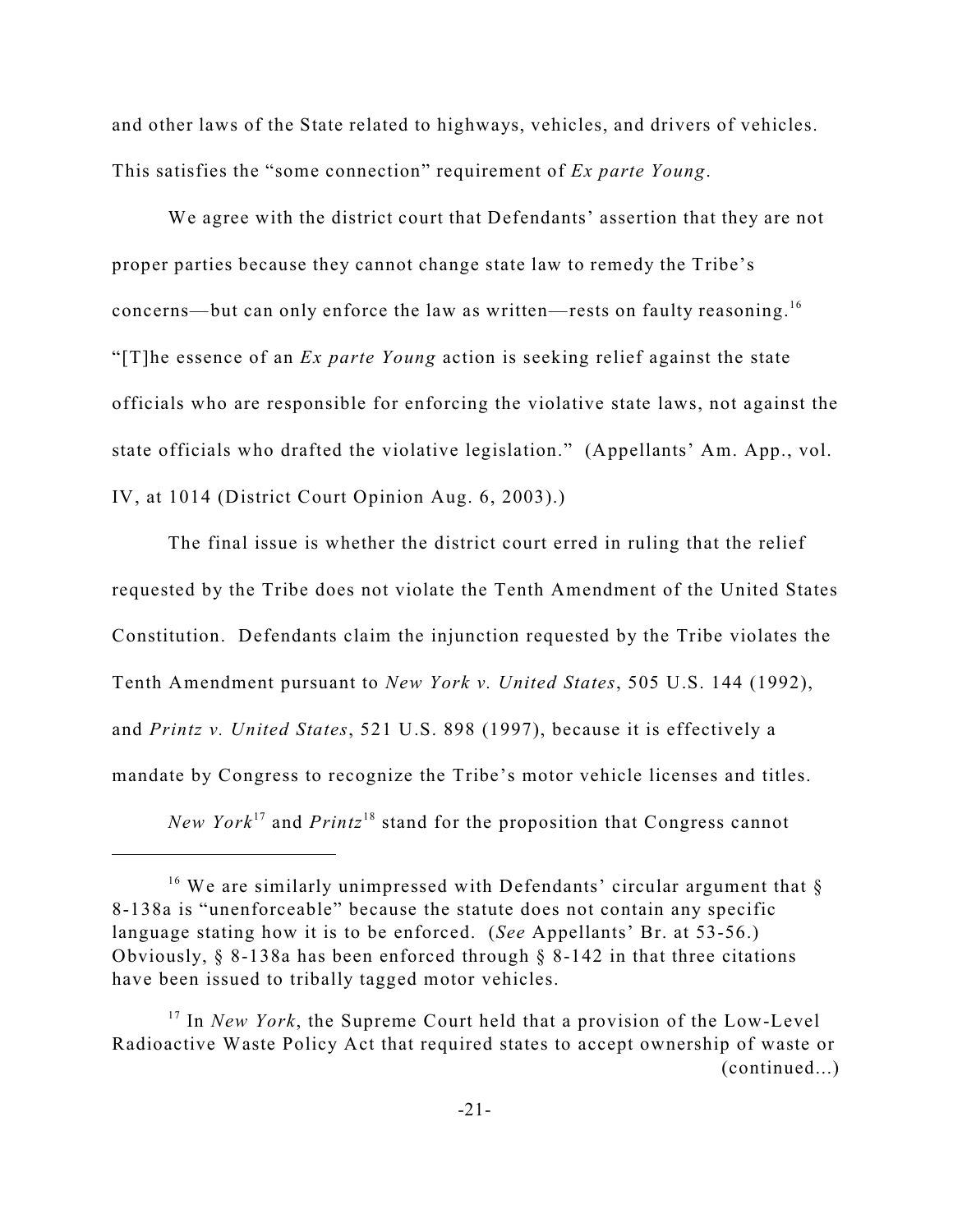and other laws of the State related to highways, vehicles, and drivers of vehicles. This satisfies the "some connection" requirement of *Ex parte Young*.

We agree with the district court that Defendants' assertion that they are not proper parties because they cannot change state law to remedy the Tribe's concerns—but can only enforce the law as written—rests on faulty reasoning.<sup>16</sup> "[T]he essence of an *Ex parte Young* action is seeking relief against the state officials who are responsible for enforcing the violative state laws, not against the state officials who drafted the violative legislation." (Appellants' Am. App., vol. IV, at 1014 (District Court Opinion Aug. 6, 2003).)

The final issue is whether the district court erred in ruling that the relief requested by the Tribe does not violate the Tenth Amendment of the United States Constitution. Defendants claim the injunction requested by the Tribe violates the Tenth Amendment pursuant to *New York v. United States*, 505 U.S. 144 (1992), and *Printz v. United States*, 521 U.S. 898 (1997), because it is effectively a mandate by Congress to recognize the Tribe's motor vehicle licenses and titles.

*New York*<sup>17</sup> and *Printz*<sup>18</sup> stand for the proposition that Congress cannot

<sup>&</sup>lt;sup>16</sup> We are similarly unimpressed with Defendants' circular argument that  $\S$ 8-138a is "unenforceable" because the statute does not contain any specific language stating how it is to be enforced. (*See* Appellants' Br. at 53-56.) Obviously, § 8-138a has been enforced through § 8-142 in that three citations have been issued to tribally tagged motor vehicles.

<sup>&</sup>lt;sup>17</sup> In *New York*, the Supreme Court held that a provision of the Low-Level Radioactive Waste Policy Act that required states to accept ownership of waste or (continued...)